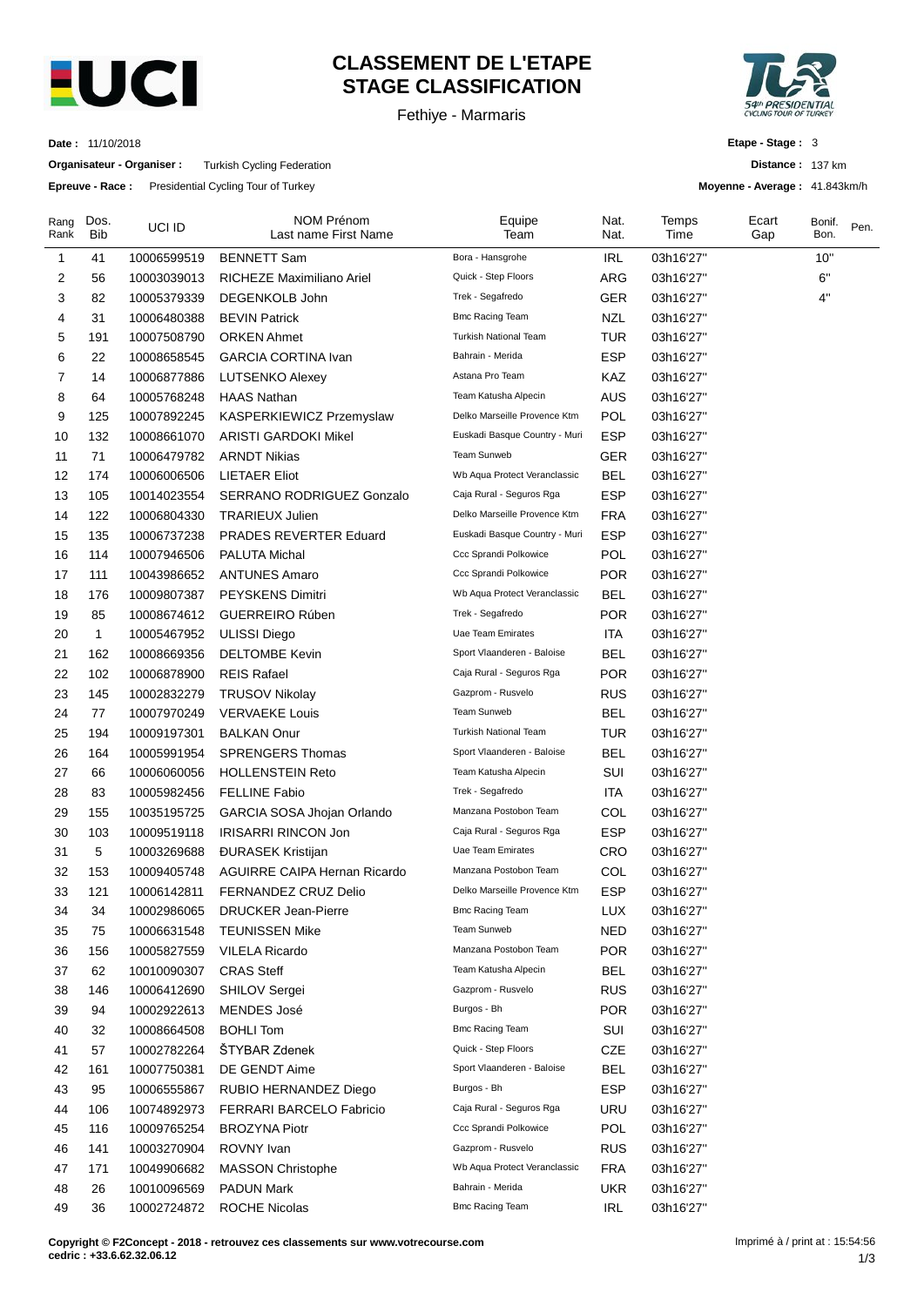

# **CLASSEMENT DE L'ETAPE STAGE CLASSIFICATION**

Fethiye - Marmaris



**Distance :** 137 km **Moyenne - Average :** 41.843km/h

**Etape - Stage :** 3

**Date :** 11/10/2018

**Organisateur - Organiser :** Turkish Cycling Federation

**Epreuve - Race :** Presidential Cycling Tour of Turkey

| Rang<br>Rank | Dos.<br><b>Bib</b> | UCI ID      | NOM Prénom<br>Last name First Name | Equipe<br>Team                | Nat.<br>Nat. | Temps<br>Time | Ecart<br>Gap | Bonif.<br>Bon. | Pen. |
|--------------|--------------------|-------------|------------------------------------|-------------------------------|--------------|---------------|--------------|----------------|------|
| 1            | 41                 | 10006599519 | <b>BENNETT Sam</b>                 | Bora - Hansgrohe              | <b>IRL</b>   | 03h16'27"     |              | 10"            |      |
| 2            | 56                 | 10003039013 | RICHEZE Maximiliano Ariel          | Quick - Step Floors           | ARG          | 03h16'27"     |              | 6"             |      |
| 3            | 82                 | 10005379339 | DEGENKOLB John                     | Trek - Segafredo              | <b>GER</b>   | 03h16'27"     |              | 4"             |      |
| 4            | 31                 | 10006480388 | <b>BEVIN Patrick</b>               | <b>Bmc Racing Team</b>        | <b>NZL</b>   | 03h16'27"     |              |                |      |
| 5            | 191                | 10007508790 | <b>ORKEN Ahmet</b>                 | Turkish National Team         | <b>TUR</b>   | 03h16'27"     |              |                |      |
| 6            | 22                 | 10008658545 | <b>GARCIA CORTINA Ivan</b>         | Bahrain - Merida              | ESP          | 03h16'27"     |              |                |      |
| 7            | 14                 | 10006877886 | <b>LUTSENKO Alexey</b>             | Astana Pro Team               | KAZ          | 03h16'27"     |              |                |      |
| 8            | 64                 | 10005768248 | <b>HAAS Nathan</b>                 | Team Katusha Alpecin          | <b>AUS</b>   | 03h16'27"     |              |                |      |
| 9            | 125                | 10007892245 | KASPERKIEWICZ Przemyslaw           | Delko Marseille Provence Ktm  | <b>POL</b>   | 03h16'27"     |              |                |      |
| 10           | 132                | 10008661070 | <b>ARISTI GARDOKI Mikel</b>        | Euskadi Basque Country - Muri | <b>ESP</b>   | 03h16'27"     |              |                |      |
| 11           | 71                 | 10006479782 | <b>ARNDT Nikias</b>                | Team Sunweb                   | <b>GER</b>   | 03h16'27"     |              |                |      |
| 12           | 174                | 10006006506 | LIETAER Eliot                      | Wb Aqua Protect Veranclassic  | <b>BEL</b>   | 03h16'27"     |              |                |      |
| 13           | 105                | 10014023554 | SERRANO RODRIGUEZ Gonzalo          | Caja Rural - Seguros Rga      | ESP          | 03h16'27"     |              |                |      |
| 14           | 122                | 10006804330 | <b>TRARIEUX Julien</b>             | Delko Marseille Provence Ktm  | <b>FRA</b>   | 03h16'27"     |              |                |      |
| 15           | 135                | 10006737238 | PRADES REVERTER Eduard             | Euskadi Basque Country - Muri | ESP          | 03h16'27"     |              |                |      |
| 16           | 114                | 10007946506 | <b>PALUTA Michal</b>               | Ccc Sprandi Polkowice         | POL          | 03h16'27"     |              |                |      |
| 17           | 111                | 10043986652 | <b>ANTUNES Amaro</b>               | Ccc Sprandi Polkowice         | <b>POR</b>   | 03h16'27"     |              |                |      |
| 18           | 176                | 10009807387 | PEYSKENS Dimitri                   | Wb Aqua Protect Veranclassic  | <b>BEL</b>   | 03h16'27"     |              |                |      |
| 19           | 85                 | 10008674612 | <b>GUERREIRO Rúben</b>             | Trek - Segafredo              | <b>POR</b>   | 03h16'27"     |              |                |      |
| 20           | 1                  | 10005467952 | <b>ULISSI Diego</b>                | Uae Team Emirates             | <b>ITA</b>   | 03h16'27"     |              |                |      |
| 21           | 162                | 10008669356 | <b>DELTOMBE Kevin</b>              | Sport Vlaanderen - Baloise    | BEL          | 03h16'27"     |              |                |      |
| 22           | 102                | 10006878900 | <b>REIS Rafael</b>                 | Caja Rural - Seguros Rga      | <b>POR</b>   | 03h16'27"     |              |                |      |
| 23           | 145                | 10002832279 | <b>TRUSOV Nikolay</b>              | Gazprom - Rusvelo             | <b>RUS</b>   | 03h16'27"     |              |                |      |
| 24           | 77                 | 10007970249 | <b>VERVAEKE Louis</b>              | Team Sunweb                   | <b>BEL</b>   | 03h16'27"     |              |                |      |
| 25           | 194                | 10009197301 | <b>BALKAN Onur</b>                 | <b>Turkish National Team</b>  | <b>TUR</b>   | 03h16'27"     |              |                |      |
| 26           | 164                | 10005991954 | <b>SPRENGERS Thomas</b>            | Sport Vlaanderen - Baloise    | <b>BEL</b>   | 03h16'27"     |              |                |      |
| 27           | 66                 | 10006060056 | <b>HOLLENSTEIN Reto</b>            | Team Katusha Alpecin          | SUI          | 03h16'27"     |              |                |      |
| 28           | 83                 | 10005982456 | <b>FELLINE Fabio</b>               | Trek - Segafredo              | ITA          | 03h16'27"     |              |                |      |
| 29           | 155                | 10035195725 | GARCIA SOSA Jhojan Orlando         | Manzana Postobon Team         | COL          | 03h16'27"     |              |                |      |
| 30           | 103                | 10009519118 | <b>IRISARRI RINCON Jon</b>         | Caja Rural - Seguros Rga      | ESP          | 03h16'27"     |              |                |      |
| 31           | 5                  | 10003269688 | <b>DURASEK Kristijan</b>           | Uae Team Emirates             | CRO          | 03h16'27"     |              |                |      |
| 32           | 153                | 10009405748 | AGUIRRE CAIPA Hernan Ricardo       | Manzana Postobon Team         | COL          | 03h16'27"     |              |                |      |
| 33           | 121                | 10006142811 | FERNANDEZ CRUZ Delio               | Delko Marseille Provence Ktm  | ESP          | 03h16'27"     |              |                |      |
| 34           | 34                 | 10002986065 | <b>DRUCKER Jean-Pierre</b>         | <b>Bmc Racing Team</b>        | LUX          | 03h16'27"     |              |                |      |
| 35           | 75                 | 10006631548 | <b>TEUNISSEN Mike</b>              | Team Sunweb                   | <b>NED</b>   | 03h16'27"     |              |                |      |
| 36           | 156                | 10005827559 | <b>VILELA Ricardo</b>              | Manzana Postobon Team         | <b>POR</b>   | 03h16'27"     |              |                |      |
| 37           | 62                 | 10010090307 | <b>CRAS Steff</b>                  | Team Katusha Alpecin          | <b>BEL</b>   | 03h16'27"     |              |                |      |
| 38           | 146                | 10006412690 | SHILOV Sergei                      | Gazprom - Rusvelo             | <b>RUS</b>   | 03h16'27"     |              |                |      |
| 39           | 94                 | 10002922613 | MENDES José                        | Burgos - Bh                   | <b>POR</b>   | 03h16'27"     |              |                |      |
| 40           | 32                 | 10008664508 | <b>BOHLI Tom</b>                   | <b>Bmc Racing Team</b>        | SUI          | 03h16'27"     |              |                |      |
| 41           | 57                 | 10002782264 | ŠTYBAR Zdenek                      | Quick - Step Floors           | <b>CZE</b>   | 03h16'27"     |              |                |      |
| 42           | 161                | 10007750381 | DE GENDT Aime                      | Sport Vlaanderen - Baloise    | <b>BEL</b>   | 03h16'27"     |              |                |      |
| 43           | 95                 | 10006555867 | RUBIO HERNANDEZ Diego              | Burgos - Bh                   | <b>ESP</b>   | 03h16'27"     |              |                |      |
| 44           | 106                | 10074892973 | FERRARI BARCELO Fabricio           | Caja Rural - Seguros Rga      | <b>URU</b>   | 03h16'27"     |              |                |      |
| 45           | 116                | 10009765254 | <b>BROZYNA Piotr</b>               | Ccc Sprandi Polkowice         | <b>POL</b>   | 03h16'27"     |              |                |      |
| 46           | 141                | 10003270904 | ROVNY Ivan                         | Gazprom - Rusvelo             | <b>RUS</b>   | 03h16'27"     |              |                |      |
| 47           | 171                | 10049906682 | <b>MASSON Christophe</b>           | Wb Aqua Protect Veranclassic  | <b>FRA</b>   | 03h16'27"     |              |                |      |
| 48           | 26                 | 10010096569 | <b>PADUN Mark</b>                  | Bahrain - Merida              | <b>UKR</b>   | 03h16'27"     |              |                |      |
| 49           | 36                 | 10002724872 | ROCHE Nicolas                      | <b>Bmc Racing Team</b>        | <b>IRL</b>   | 03h16'27"     |              |                |      |
|              |                    |             |                                    |                               |              |               |              |                |      |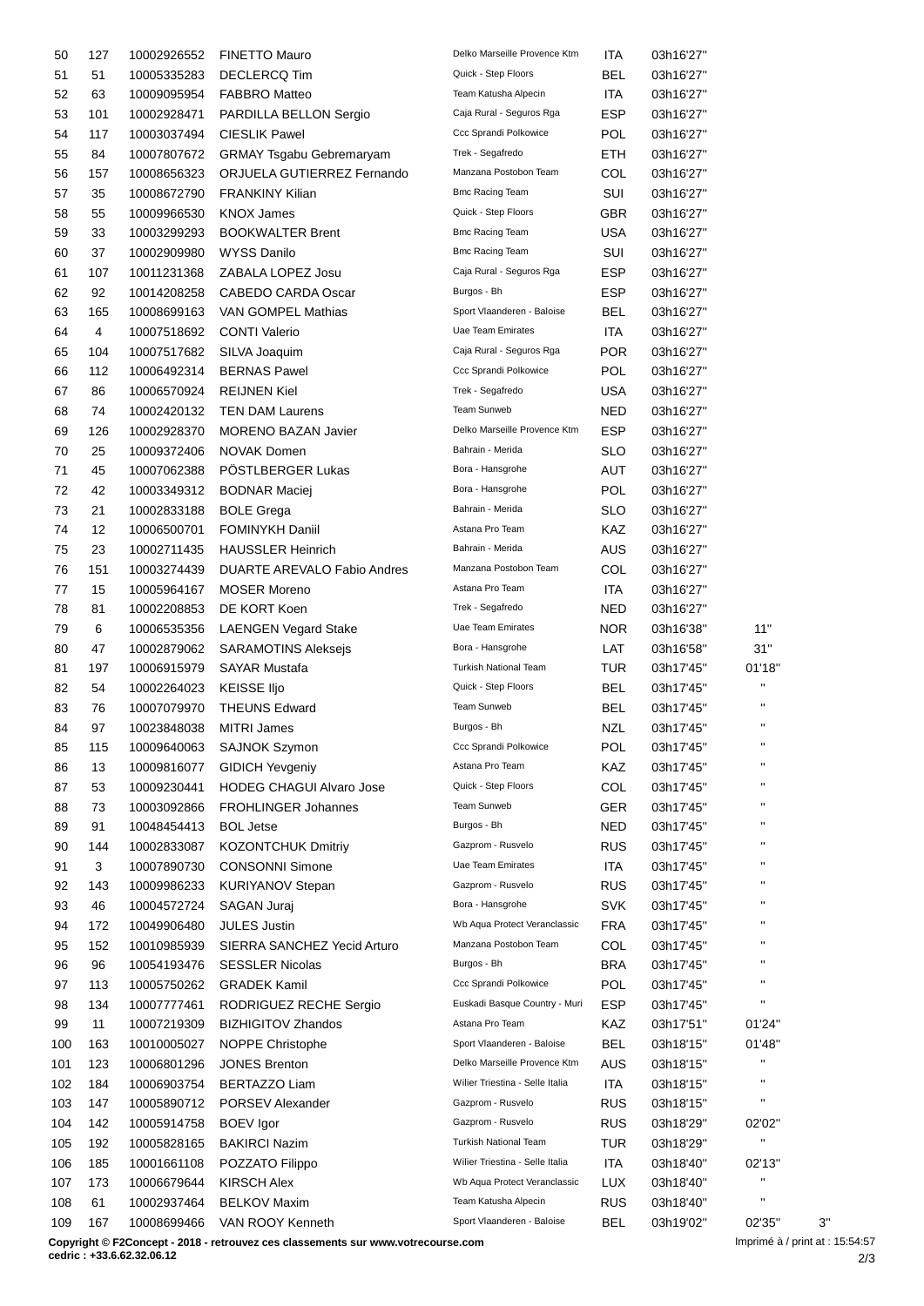| 50  | 127 | 10002926552 | <b>FINETTO Mauro</b>            | Delko Marseille Provence Ktm    | ITA        | 03h16'27" |                        |    |
|-----|-----|-------------|---------------------------------|---------------------------------|------------|-----------|------------------------|----|
| 51  | 51  | 10005335283 | <b>DECLERCQ Tim</b>             | Quick - Step Floors             | BEL        | 03h16'27" |                        |    |
| 52  | 63  | 10009095954 | <b>FABBRO Matteo</b>            | Team Katusha Alpecin            | ITA        | 03h16'27" |                        |    |
| 53  | 101 | 10002928471 | PARDILLA BELLON Sergio          | Caja Rural - Seguros Rga        | <b>ESP</b> | 03h16'27" |                        |    |
| 54  | 117 | 10003037494 | <b>CIESLIK Pawel</b>            | Ccc Sprandi Polkowice           | <b>POL</b> | 03h16'27" |                        |    |
| 55  | 84  | 10007807672 | <b>GRMAY Tsgabu Gebremaryam</b> | Trek - Segafredo                | ETH        | 03h16'27" |                        |    |
| 56  | 157 | 10008656323 | ORJUELA GUTIERREZ Fernando      | Manzana Postobon Team           | COL        | 03h16'27" |                        |    |
| 57  | 35  | 10008672790 | <b>FRANKINY Kilian</b>          | <b>Bmc Racing Team</b>          | SUI        | 03h16'27" |                        |    |
| 58  | 55  | 10009966530 | <b>KNOX James</b>               | Quick - Step Floors             | <b>GBR</b> | 03h16'27" |                        |    |
|     | 33  | 10003299293 |                                 | <b>Bmc Racing Team</b>          | <b>USA</b> |           |                        |    |
| 59  |     |             | <b>BOOKWALTER Brent</b>         | <b>Bmc Racing Team</b>          |            | 03h16'27" |                        |    |
| 60  | 37  | 10002909980 | <b>WYSS Danilo</b>              |                                 | SUI        | 03h16'27" |                        |    |
| 61  | 107 | 10011231368 | ZABALA LOPEZ Josu               | Caja Rural - Seguros Rga        | <b>ESP</b> | 03h16'27" |                        |    |
| 62  | 92  | 10014208258 | CABEDO CARDA Oscar              | Burgos - Bh                     | <b>ESP</b> | 03h16'27" |                        |    |
| 63  | 165 | 10008699163 | VAN GOMPEL Mathias              | Sport Vlaanderen - Baloise      | <b>BEL</b> | 03h16'27" |                        |    |
| 64  | 4   | 10007518692 | <b>CONTI Valerio</b>            | Uae Team Emirates               | ITA        | 03h16'27" |                        |    |
| 65  | 104 | 10007517682 | SILVA Joaquim                   | Caja Rural - Seguros Rga        | POR        | 03h16'27" |                        |    |
| 66  | 112 | 10006492314 | <b>BERNAS Pawel</b>             | Ccc Sprandi Polkowice           | <b>POL</b> | 03h16'27" |                        |    |
| 67  | 86  | 10006570924 | <b>REIJNEN Kiel</b>             | Trek - Segafredo                | <b>USA</b> | 03h16'27" |                        |    |
| 68  | 74  | 10002420132 | <b>TEN DAM Laurens</b>          | Team Sunweb                     | NED        | 03h16'27" |                        |    |
| 69  | 126 | 10002928370 | MORENO BAZAN Javier             | Delko Marseille Provence Ktm    | <b>ESP</b> | 03h16'27" |                        |    |
| 70  | 25  | 10009372406 | <b>NOVAK Domen</b>              | Bahrain - Merida                | SLO        | 03h16'27" |                        |    |
| 71  | 45  | 10007062388 | PÖSTLBERGER Lukas               | Bora - Hansgrohe                | AUT        | 03h16'27" |                        |    |
| 72  | 42  | 10003349312 | <b>BODNAR Maciej</b>            | Bora - Hansgrohe                | <b>POL</b> | 03h16'27" |                        |    |
| 73  | 21  | 10002833188 | <b>BOLE Grega</b>               | Bahrain - Merida                | <b>SLO</b> | 03h16'27" |                        |    |
|     |     |             |                                 | Astana Pro Team                 |            |           |                        |    |
| 74  | 12  | 10006500701 | <b>FOMINYKH Daniil</b>          |                                 | KAZ        | 03h16'27" |                        |    |
| 75  | 23  | 10002711435 | <b>HAUSSLER Heinrich</b>        | Bahrain - Merida                | AUS        | 03h16'27" |                        |    |
| 76  | 151 | 10003274439 | DUARTE AREVALO Fabio Andres     | Manzana Postobon Team           | COL        | 03h16'27" |                        |    |
| 77  | 15  | 10005964167 | <b>MOSER Moreno</b>             | Astana Pro Team                 | <b>ITA</b> | 03h16'27" |                        |    |
| 78  | 81  | 10002208853 | DE KORT Koen                    | Trek - Segafredo                | NED        | 03h16'27" |                        |    |
| 79  | 6   | 10006535356 | <b>LAENGEN Vegard Stake</b>     | Uae Team Emirates               | <b>NOR</b> | 03h16'38" | 11"                    |    |
| 80  | 47  | 10002879062 | <b>SARAMOTINS Aleksejs</b>      | Bora - Hansgrohe                | LAT        | 03h16'58" | 31"                    |    |
| 81  | 197 | 10006915979 | <b>SAYAR Mustafa</b>            | <b>Turkish National Team</b>    | <b>TUR</b> | 03h17'45" | 01'18"                 |    |
| 82  | 54  | 10002264023 | <b>KEISSE IIjo</b>              | Quick - Step Floors             | <b>BEL</b> | 03h17'45" | $\blacksquare$         |    |
| 83  | 76  | 10007079970 | <b>THEUNS Edward</b>            | Team Sunweb                     | BEL        | 03h17'45" | $\blacksquare$         |    |
| 84  | 97  | 10023848038 | <b>MITRI James</b>              | Burgos - Bh                     | <b>NZL</b> | 03h17'45" | $\mathbf{u}$           |    |
| 85  | 115 | 10009640063 | SAJNOK Szymon                   | Ccc Sprandi Polkowice           | POL        | 03h17'45" |                        |    |
| 86  | 13  | 10009816077 | <b>GIDICH Yevgeniy</b>          | Astana Pro Team                 | KAZ        | 03h17'45" | $\blacksquare$         |    |
| 87  | 53  | 10009230441 | <b>HODEG CHAGUI Alvaro Jose</b> | Quick - Step Floors             | COL        | 03h17'45" | п                      |    |
|     | 73  | 10003092866 | <b>FROHLINGER Johannes</b>      | Team Sunweb                     | <b>GER</b> | 03h17'45" | п                      |    |
| 88  |     |             |                                 | Burgos - Bh                     |            |           | п                      |    |
| 89  | 91  | 10048454413 | <b>BOL Jetse</b>                |                                 | <b>NED</b> | 03h17'45" | $\pmb{\shortparallel}$ |    |
| 90  | 144 | 10002833087 | <b>KOZONTCHUK Dmitriy</b>       | Gazprom - Rusvelo               | <b>RUS</b> | 03h17'45" |                        |    |
| 91  | 3   | 10007890730 | <b>CONSONNI Simone</b>          | Uae Team Emirates               | ITA        | 03h17'45" | $\pmb{\mathsf{H}}$     |    |
| 92  | 143 | 10009986233 | <b>KURIYANOV Stepan</b>         | Gazprom - Rusvelo               | <b>RUS</b> | 03h17'45" | $\blacksquare$         |    |
| 93  | 46  | 10004572724 | SAGAN Juraj                     | Bora - Hansgrohe                | <b>SVK</b> | 03h17'45" | $\pmb{\mathsf{H}}$     |    |
| 94  | 172 | 10049906480 | <b>JULES Justin</b>             | Wb Aqua Protect Veranclassic    | <b>FRA</b> | 03h17'45" | п                      |    |
| 95  | 152 | 10010985939 | SIERRA SANCHEZ Yecid Arturo     | Manzana Postobon Team           | COL        | 03h17'45" | п                      |    |
| 96  | 96  | 10054193476 | <b>SESSLER Nicolas</b>          | Burgos - Bh                     | <b>BRA</b> | 03h17'45" | п                      |    |
| 97  | 113 | 10005750262 | <b>GRADEK Kamil</b>             | Ccc Sprandi Polkowice           | <b>POL</b> | 03h17'45" | $\pmb{\mathsf{H}}$     |    |
| 98  | 134 | 10007777461 | RODRIGUEZ RECHE Sergio          | Euskadi Basque Country - Muri   | <b>ESP</b> | 03h17'45" | $\blacksquare$         |    |
| 99  | 11  | 10007219309 | <b>BIZHIGITOV Zhandos</b>       | Astana Pro Team                 | KAZ        | 03h17'51" | 01'24"                 |    |
| 100 | 163 | 10010005027 | NOPPE Christophe                | Sport Vlaanderen - Baloise      | <b>BEL</b> | 03h18'15" | 01'48"                 |    |
| 101 | 123 | 10006801296 | <b>JONES Brenton</b>            | Delko Marseille Provence Ktm    | <b>AUS</b> | 03h18'15" | $\blacksquare$         |    |
| 102 | 184 | 10006903754 | <b>BERTAZZO Liam</b>            | Wilier Triestina - Selle Italia | <b>ITA</b> | 03h18'15" | $\mathbf{H}$           |    |
|     |     |             |                                 | Gazprom - Rusvelo               |            |           | $\blacksquare$         |    |
| 103 | 147 | 10005890712 | <b>PORSEV Alexander</b>         |                                 | <b>RUS</b> | 03h18'15" |                        |    |
| 104 | 142 | 10005914758 | <b>BOEV</b> Igor                | Gazprom - Rusvelo               | <b>RUS</b> | 03h18'29" | 02'02"<br>н            |    |
| 105 | 192 | 10005828165 | <b>BAKIRCI Nazim</b>            | <b>Turkish National Team</b>    | TUR        | 03h18'29" |                        |    |
| 106 | 185 | 10001661108 | POZZATO Filippo                 | Wilier Triestina - Selle Italia | <b>ITA</b> | 03h18'40" | 02'13"                 |    |
| 107 | 173 | 10006679644 | <b>KIRSCH Alex</b>              | Wb Aqua Protect Veranclassic    | LUX        | 03h18'40" | $\mathbf{H}$           |    |
| 108 | 61  | 10002937464 | <b>BELKOV Maxim</b>             | Team Katusha Alpecin            | <b>RUS</b> | 03h18'40" | $\blacksquare$         |    |
| 109 | 167 | 10008699466 | VAN ROOY Kenneth                | Sport Vlaanderen - Baloise      | <b>BEL</b> | 03h19'02" | 02'35"                 | 3' |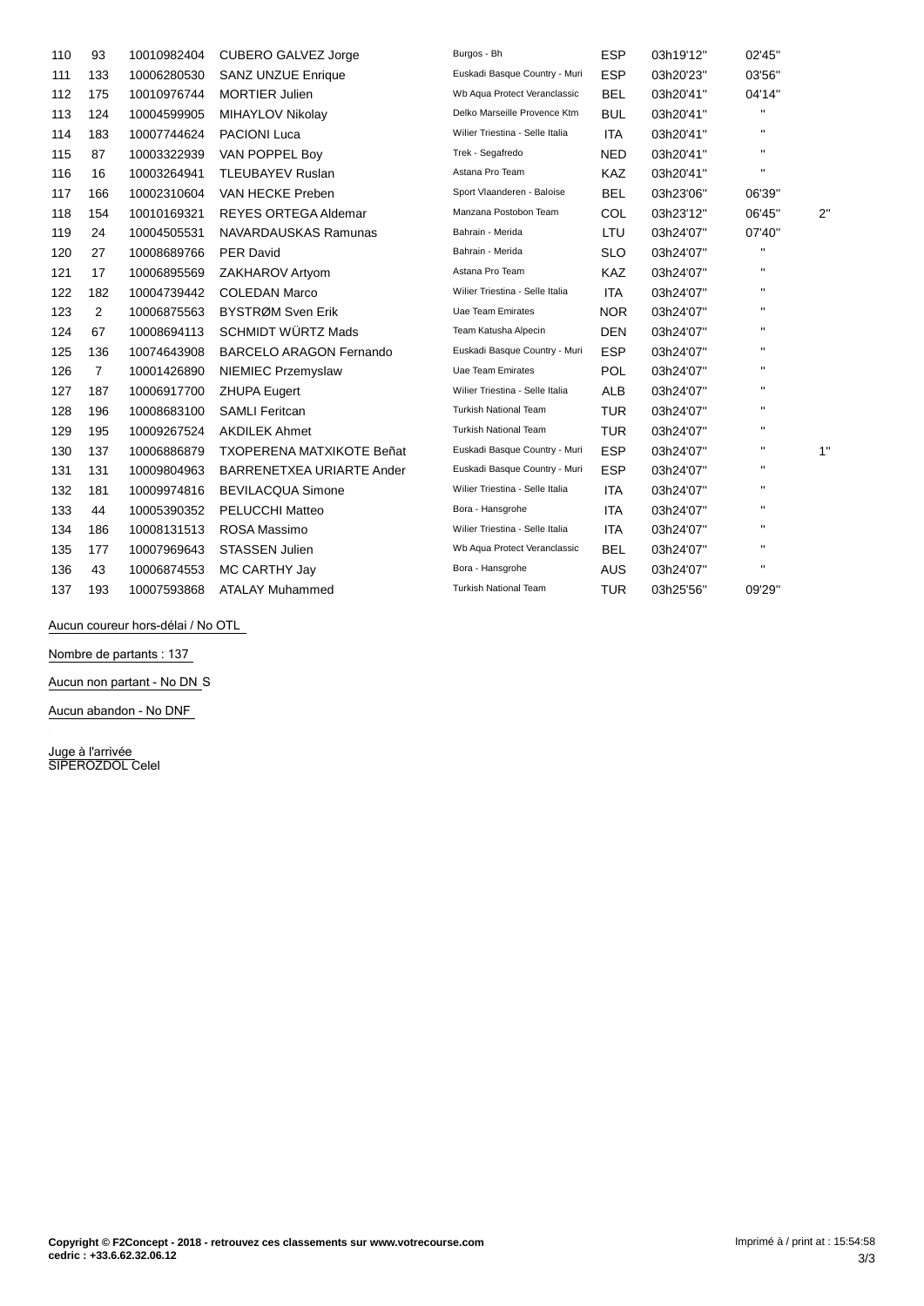| 110 | 93             | 10010982404 | <b>CUBERO GALVEZ Jorge</b>       | Burgos - Bh                     | <b>ESP</b> | 03h19'12" | 02'45"             |              |
|-----|----------------|-------------|----------------------------------|---------------------------------|------------|-----------|--------------------|--------------|
| 111 | 133            | 10006280530 | <b>SANZ UNZUE Enrique</b>        | Euskadi Basque Country - Muri   | <b>ESP</b> | 03h20'23" | 03'56"             |              |
| 112 | 175            | 10010976744 | <b>MORTIER Julien</b>            | Wb Aqua Protect Veranclassic    | <b>BEL</b> | 03h20'41" | 04'14"             |              |
| 113 | 124            | 10004599905 | MIHAYLOV Nikolay                 | Delko Marseille Provence Ktm    | <b>BUL</b> | 03h20'41" | $\mathbf{H}$       |              |
| 114 | 183            | 10007744624 | <b>PACIONI Luca</b>              | Wilier Triestina - Selle Italia | <b>ITA</b> | 03h20'41" | $\mathbf{H}$       |              |
| 115 | 87             | 10003322939 | VAN POPPEL Boy                   | Trek - Segafredo                | <b>NED</b> | 03h20'41" | $\mathbf{H}$       |              |
| 116 | 16             | 10003264941 | <b>TLEUBAYEV Ruslan</b>          | Astana Pro Team                 | KAZ        | 03h20'41" | $\mathbf{H}$       |              |
| 117 | 166            | 10002310604 | VAN HECKE Preben                 | Sport Vlaanderen - Baloise      | <b>BEL</b> | 03h23'06" | 06'39"             |              |
| 118 | 154            | 10010169321 | <b>REYES ORTEGA Aldemar</b>      | Manzana Postobon Team           | <b>COL</b> | 03h23'12" | 06'45"             | $2^{\prime}$ |
| 119 | 24             | 10004505531 | NAVARDAUSKAS Ramunas             | Bahrain - Merida                | LTU        | 03h24'07" | 07'40"             |              |
| 120 | 27             | 10008689766 | <b>PER David</b>                 | Bahrain - Merida                | <b>SLO</b> | 03h24'07" | $\pmb{\mathsf{H}}$ |              |
| 121 | 17             | 10006895569 | ZAKHAROV Artyom                  | Astana Pro Team                 | <b>KAZ</b> | 03h24'07" | $\mathbf{H}$       |              |
| 122 | 182            | 10004739442 | <b>COLEDAN Marco</b>             | Wilier Triestina - Selle Italia | <b>ITA</b> | 03h24'07" | $\mathbf{H}$       |              |
| 123 | 2              | 10006875563 | BYSTRØM Sven Erik                | <b>Uae Team Emirates</b>        | <b>NOR</b> | 03h24'07" | $\mathbf{H}$       |              |
| 124 | 67             | 10008694113 | <b>SCHMIDT WÜRTZ Mads</b>        | Team Katusha Alpecin            | <b>DEN</b> | 03h24'07" | $\mathbf{H}$       |              |
| 125 | 136            | 10074643908 | <b>BARCELO ARAGON Fernando</b>   | Euskadi Basque Country - Muri   | <b>ESP</b> | 03h24'07" | $\mathbf{H}$       |              |
| 126 | $\overline{7}$ | 10001426890 | NIEMIEC Przemyslaw               | Uae Team Emirates               | <b>POL</b> | 03h24'07" | $\mathbf{H}$       |              |
| 127 | 187            | 10006917700 | <b>ZHUPA Eugert</b>              | Wilier Triestina - Selle Italia | <b>ALB</b> | 03h24'07" | $\mathbf{H}$       |              |
| 128 | 196            | 10008683100 | <b>SAMLI Feritcan</b>            | <b>Turkish National Team</b>    | <b>TUR</b> | 03h24'07" | $\blacksquare$     |              |
| 129 | 195            | 10009267524 | <b>AKDILEK Ahmet</b>             | <b>Turkish National Team</b>    | <b>TUR</b> | 03h24'07" | $\mathbf{H}$       |              |
| 130 | 137            | 10006886879 | <b>TXOPERENA MATXIKOTE Beñat</b> | Euskadi Basque Country - Muri   | <b>ESP</b> | 03h24'07" | $\mathbf{H}$       | 1'           |
| 131 | 131            | 10009804963 | BARRENETXEA URIARTE Ander        | Euskadi Basque Country - Muri   | <b>ESP</b> | 03h24'07" | $\mathbf{H}$       |              |
| 132 | 181            | 10009974816 | <b>BEVILACQUA Simone</b>         | Wilier Triestina - Selle Italia | <b>ITA</b> | 03h24'07" | $\mathbf{H}$       |              |
| 133 | 44             | 10005390352 | <b>PELUCCHI Matteo</b>           | Bora - Hansgrohe                | ITA        | 03h24'07" | $\mathbf{H}$       |              |
| 134 | 186            | 10008131513 | ROSA Massimo                     | Wilier Triestina - Selle Italia | <b>ITA</b> | 03h24'07" | $\mathbf{H}$       |              |
| 135 | 177            | 10007969643 | <b>STASSEN Julien</b>            | Wb Aqua Protect Veranclassic    | <b>BEL</b> | 03h24'07" | $\mathbf{H}$       |              |
| 136 | 43             | 10006874553 | MC CARTHY Jay                    | Bora - Hansgrohe                | AUS        | 03h24'07" | $\mathbf{H}$       |              |
| 137 | 193            | 10007593868 | <b>ATALAY Muhammed</b>           | <b>Turkish National Team</b>    | <b>TUR</b> | 03h25'56" | 09'29"             |              |

Aucun coureur hors-délai / No OTL

**Nombre de partants : 137**

**Aucun non partant - No DN** S

**Aucun abandon - No DNF**

**Juge ‡ l'arrivÈe** SIPEROZDOL Celel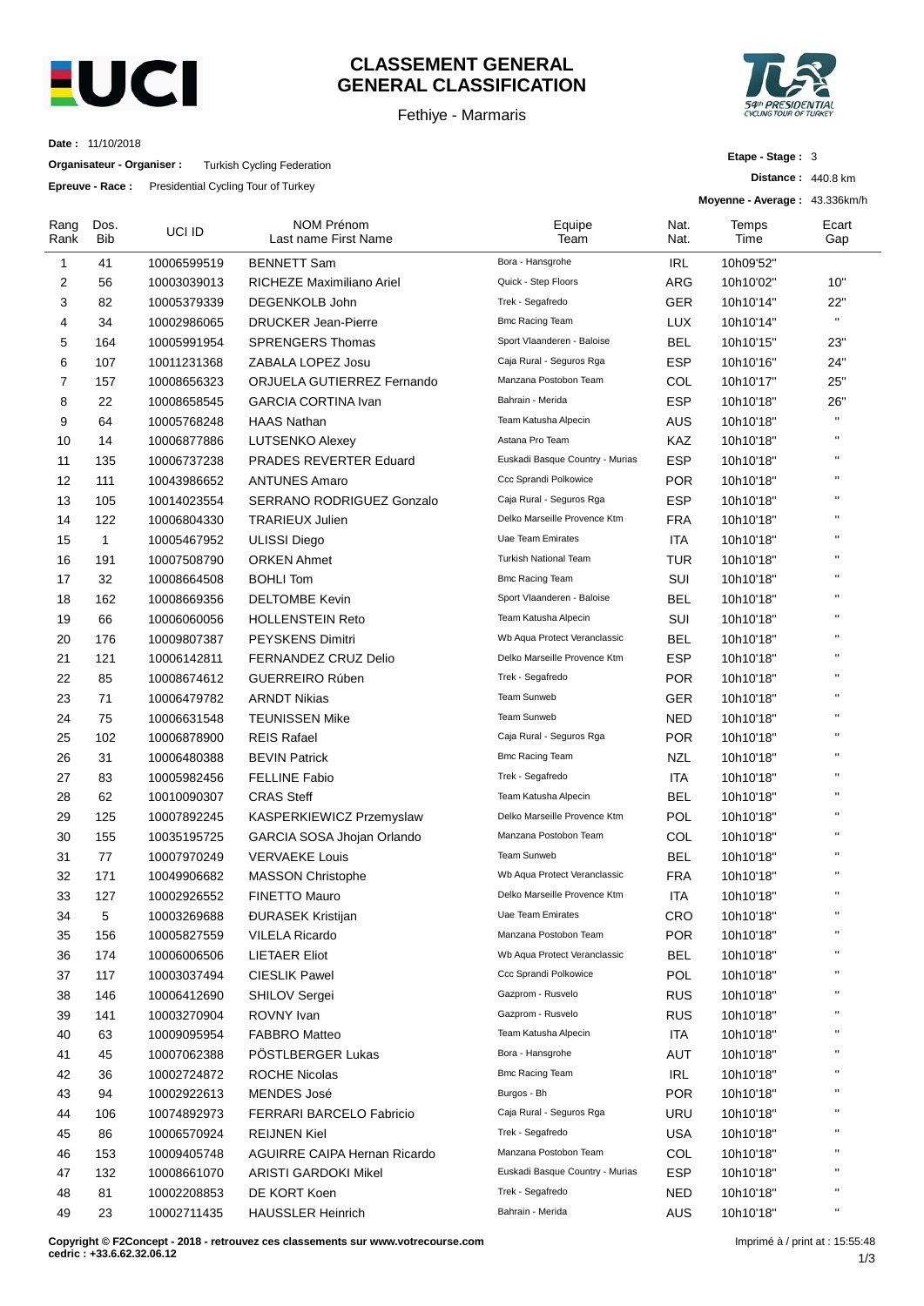

# **CLASSEMENT GENERAL GENERAL CLASSIFICATION**

Fethiye - Marmaris



**Etape - Stage :** 3

**Distance :** 440.8 km

**Date :** 11/10/2018

**Organisateur - Organiser :** Turkish Cycling Federation

**Epreuve - Race :** Presidential Cycling Tour of Turkey

|                |              |             |                                    |                                 |              | Moyenne - Average: 43.336km/h |                    |
|----------------|--------------|-------------|------------------------------------|---------------------------------|--------------|-------------------------------|--------------------|
| Rang<br>Rank   | Dos.<br>Bib  | UCI ID      | NOM Prénom<br>Last name First Name | Equipe<br>Team                  | Nat.<br>Nat. | Temps<br>Time                 | Ecart<br>Gap       |
| 1              | 41           | 10006599519 | <b>BENNETT Sam</b>                 | Bora - Hansgrohe                | <b>IRL</b>   | 10h09'52"                     |                    |
| 2              | 56           | 10003039013 | RICHEZE Maximiliano Ariel          | Quick - Step Floors             | ARG          | 10h10'02"                     | 10"                |
| 3              | 82           | 10005379339 | <b>DEGENKOLB John</b>              | Trek - Segafredo                | GER          | 10h10'14"                     | 22"                |
| 4              | 34           | 10002986065 | <b>DRUCKER Jean-Pierre</b>         | <b>Bmc Racing Team</b>          | <b>LUX</b>   | 10h10'14"                     | $\mathbf{H}$       |
| 5              | 164          | 10005991954 | <b>SPRENGERS Thomas</b>            | Sport Vlaanderen - Baloise      | <b>BEL</b>   | 10h10'15"                     | 23"                |
| 6              | 107          | 10011231368 | ZABALA LOPEZ Josu                  | Caja Rural - Seguros Rga        | <b>ESP</b>   | 10h10'16"                     | 24"                |
| $\overline{7}$ | 157          | 10008656323 | ORJUELA GUTIERREZ Fernando         | Manzana Postobon Team           | COL          | 10h10'17"                     | 25"                |
| 8              | 22           | 10008658545 | <b>GARCIA CORTINA Ivan</b>         | Bahrain - Merida                | <b>ESP</b>   | 10h10'18"                     | 26"                |
| 9              | 64           | 10005768248 | <b>HAAS Nathan</b>                 | Team Katusha Alpecin            | AUS          | 10h10'18"                     | $\bar{\mathbf{u}}$ |
| 10             | 14           | 10006877886 | LUTSENKO Alexey                    | Astana Pro Team                 | KAZ          | 10h10'18"                     | $\mathbf{H}$       |
| 11             | 135          | 10006737238 | PRADES REVERTER Eduard             | Euskadi Basque Country - Murias | <b>ESP</b>   | 10h10'18"                     | $\mathbf{H}$       |
| 12             | 111          | 10043986652 | <b>ANTUNES Amaro</b>               | Ccc Sprandi Polkowice           | <b>POR</b>   | 10h10'18"                     | $\mathbf{H}$       |
| 13             | 105          | 10014023554 | <b>SERRANO RODRIGUEZ Gonzalo</b>   | Caja Rural - Seguros Rga        | <b>ESP</b>   | 10h10'18"                     | $\mathbf{H}$       |
| 14             | 122          | 10006804330 | <b>TRARIEUX Julien</b>             | Delko Marseille Provence Ktm    | <b>FRA</b>   | 10h10'18"                     | $\mathbf{H}$       |
| 15             | $\mathbf{1}$ | 10005467952 | <b>ULISSI Diego</b>                | <b>Uae Team Emirates</b>        | ITA          | 10h10'18"                     | $\mathbf{H}$       |
| 16             | 191          | 10007508790 | <b>ORKEN Ahmet</b>                 | <b>Turkish National Team</b>    | <b>TUR</b>   | 10h10'18"                     | $\mathbf{H}$       |
| 17             | 32           | 10008664508 | <b>BOHLI Tom</b>                   | <b>Bmc Racing Team</b>          | SUI          | 10h10'18"                     | $\mathbf{H}$       |
| 18             | 162          | 10008669356 | <b>DELTOMBE Kevin</b>              | Sport Vlaanderen - Baloise      | <b>BEL</b>   | 10h10'18"                     | $\mathbf{H}$       |
| 19             | 66           | 10006060056 | <b>HOLLENSTEIN Reto</b>            | Team Katusha Alpecin            | SUI          | 10h10'18"                     | $\mathbf{H}$       |
| 20             | 176          | 10009807387 | <b>PEYSKENS Dimitri</b>            | Wb Aqua Protect Veranclassic    | <b>BEL</b>   | 10h10'18"                     | $\mathbf{H}$       |
| 21             | 121          | 10006142811 | FERNANDEZ CRUZ Delio               | Delko Marseille Provence Ktm    | <b>ESP</b>   | 10h10'18"                     | $\mathbf{H}$       |
| 22             | 85           | 10008674612 | <b>GUERREIRO Rúben</b>             | Trek - Segafredo                | <b>POR</b>   | 10h10'18"                     | $\mathbf{H}$       |
| 23             | 71           | 10006479782 | <b>ARNDT Nikias</b>                | <b>Team Sunweb</b>              | <b>GER</b>   | 10h10'18"                     | $\mathbf{H}$       |
| 24             | 75           | 10006631548 | <b>TEUNISSEN Mike</b>              | Team Sunweb                     | NED          | 10h10'18"                     | $\mathbf{H}$       |
| 25             | 102          | 10006878900 | <b>REIS Rafael</b>                 | Caja Rural - Seguros Rga        | <b>POR</b>   | 10h10'18"                     | $\mathbf{H}$       |
| 26             | 31           | 10006480388 | <b>BEVIN Patrick</b>               | <b>Bmc Racing Team</b>          | <b>NZL</b>   | 10h10'18"                     | $\mathbf{H}$       |
| 27             | 83           | 10005982456 | <b>FELLINE Fabio</b>               | Trek - Segafredo                | ITA          | 10h10'18"                     | $\mathbf{H}$       |
| 28             | 62           | 10010090307 | <b>CRAS Steff</b>                  | Team Katusha Alpecin            | <b>BEL</b>   | 10h10'18"                     | $\mathbf{H}$       |
| 29             | 125          | 10007892245 | KASPERKIEWICZ Przemyslaw           | Delko Marseille Provence Ktm    | <b>POL</b>   | 10h10'18"                     | $\mathbf{H}$       |
| 30             | 155          | 10035195725 | GARCIA SOSA Jhojan Orlando         | Manzana Postobon Team           | COL          | 10h10'18"                     | $\mathbf{H}$       |
| 31             | 77           | 10007970249 | <b>VERVAEKE Louis</b>              | <b>Team Sunweb</b>              | <b>BEL</b>   | 10h10'18"                     | $\mathbf{H}$       |
| 32             | 171          | 10049906682 | <b>MASSON Christophe</b>           | Wb Aqua Protect Veranclassic    | <b>FRA</b>   | 10h10'18"                     | $\mathbf{u}$       |
| 33             | 127          | 10002926552 | FINETTO Mauro                      | Delko Marseille Provence Ktm    | <b>ITA</b>   | 10h10'18"                     | п                  |
| 34             | 5            | 10003269688 | <b>ĐURASEK Kristijan</b>           | Uae Team Emirates               | CRO          | 10h10'18"                     |                    |
| 35             | 156          | 10005827559 | <b>VILELA Ricardo</b>              | Manzana Postobon Team           | <b>POR</b>   | 10h10'18"                     | $\mathbf{H}$       |
| 36             | 174          | 10006006506 | <b>LIETAER Eliot</b>               | Wb Aqua Protect Veranclassic    | <b>BEL</b>   | 10h10'18"                     | $\mathbf{H}$       |
| 37             | 117          | 10003037494 | <b>CIESLIK Pawel</b>               | Ccc Sprandi Polkowice           | <b>POL</b>   | 10h10'18"                     | $\mathbf{H}$       |
| 38             | 146          | 10006412690 | <b>SHILOV Sergei</b>               | Gazprom - Rusvelo               | <b>RUS</b>   | 10h10'18"                     | $\mathbf{H}$       |
| 39             | 141          | 10003270904 | ROVNY Ivan                         | Gazprom - Rusvelo               | <b>RUS</b>   | 10h10'18"                     | $\mathbf{H}$       |
| 40             | 63           | 10009095954 | <b>FABBRO Matteo</b>               | Team Katusha Alpecin            | <b>ITA</b>   | 10h10'18"                     | $\mathbf{H}$       |
| 41             | 45           | 10007062388 | PÖSTLBERGER Lukas                  | Bora - Hansgrohe                | AUT          | 10h10'18"                     | $\mathbf{H}$       |
| 42             | 36           | 10002724872 | <b>ROCHE Nicolas</b>               | <b>Bmc Racing Team</b>          | <b>IRL</b>   | 10h10'18"                     | $\mathbf{H}$       |
| 43             | 94           | 10002922613 | MENDES José                        | Burgos - Bh                     | <b>POR</b>   | 10h10'18"                     | $\mathbf{H}$       |
| 44             | 106          | 10074892973 | FERRARI BARCELO Fabricio           | Caja Rural - Seguros Rga        | URU          | 10h10'18"                     | $\mathbf{H}$       |
| 45             | 86           | 10006570924 | <b>REIJNEN Kiel</b>                | Trek - Segafredo                | <b>USA</b>   | 10h10'18"                     | $\mathbf{H}$       |
| 46             | 153          | 10009405748 | AGUIRRE CAIPA Hernan Ricardo       | Manzana Postobon Team           | COL          | 10h10'18"                     | $\mathbf{H}$       |
| 47             | 132          | 10008661070 | <b>ARISTI GARDOKI Mikel</b>        | Euskadi Basque Country - Murias | <b>ESP</b>   | 10h10'18"                     | $\mathbf{H}$       |
| 48             | 81           | 10002208853 | DE KORT Koen                       | Trek - Segafredo                | <b>NED</b>   | 10h10'18"                     | $\blacksquare$     |
| 49             | 23           | 10002711435 | <b>HAUSSLER Heinrich</b>           | Bahrain - Merida                | <b>AUS</b>   | 10h10'18"                     | $\mathbf{u}$       |
|                |              |             |                                    |                                 |              |                               |                    |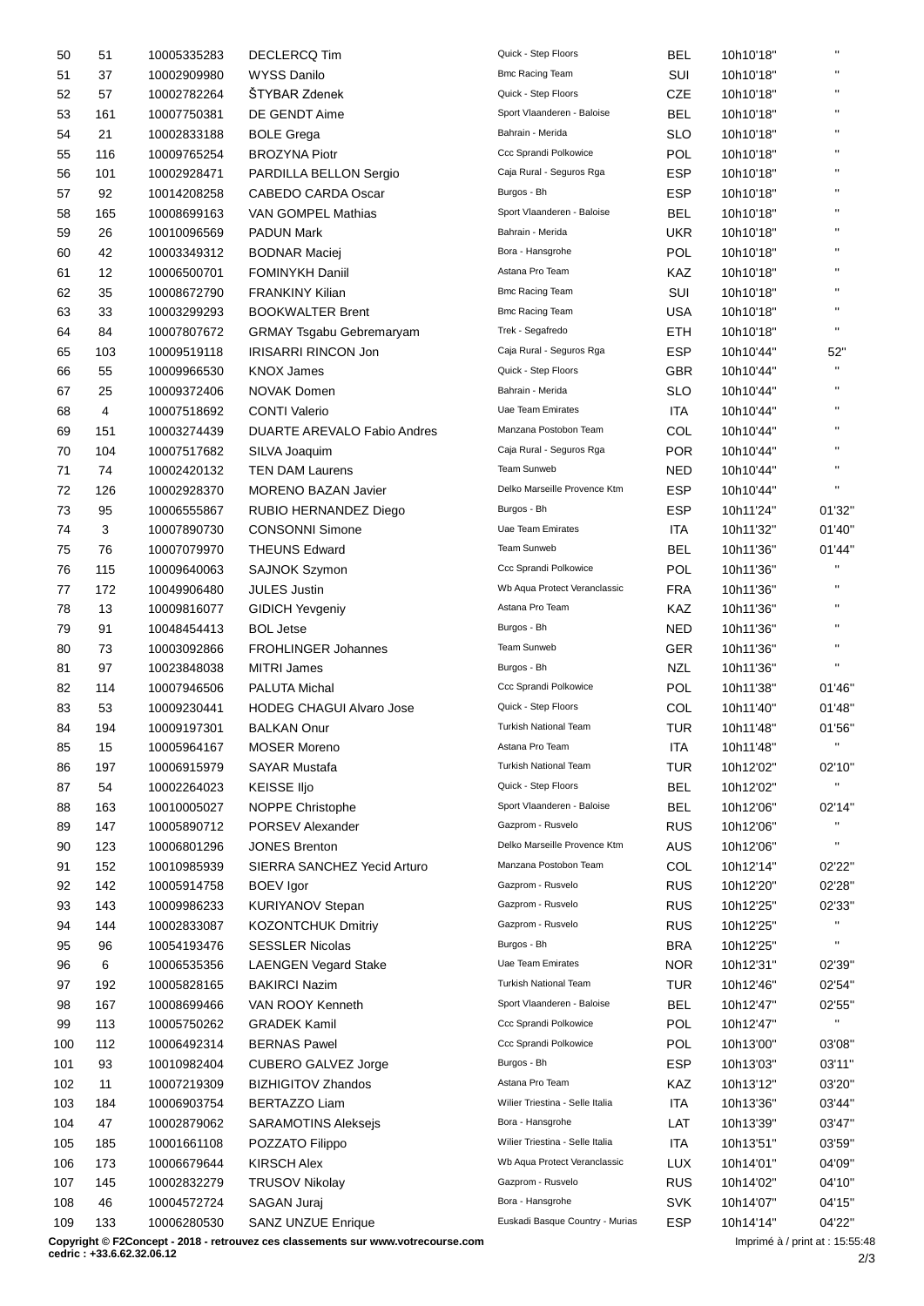| 50  | 51  | 10005335283 | <b>DECLERCQ Tim</b>                | Quick - Step Floors             | BEL        | 10h10'18" | $\mathbf{u}$           |
|-----|-----|-------------|------------------------------------|---------------------------------|------------|-----------|------------------------|
| 51  | 37  | 10002909980 | <b>WYSS Danilo</b>                 | <b>Bmc Racing Team</b>          | SUI        | 10h10'18" | $\mathbf{H}$           |
| 52  | 57  | 10002782264 | ŠTYBAR Zdenek                      | Quick - Step Floors             | CZE        | 10h10'18" | $\mathbf{H}$           |
| 53  | 161 | 10007750381 | DE GENDT Aime                      | Sport Vlaanderen - Baloise      | <b>BEL</b> | 10h10'18" | $\mathbf{H}$           |
| 54  | 21  | 10002833188 | <b>BOLE Grega</b>                  | Bahrain - Merida                | <b>SLO</b> | 10h10'18" | $\mathbf{H}$           |
| 55  | 116 | 10009765254 | <b>BROZYNA Piotr</b>               | Ccc Sprandi Polkowice           | POL        | 10h10'18" | $\mathbf{H}$           |
| 56  | 101 | 10002928471 | PARDILLA BELLON Sergio             | Caja Rural - Seguros Rga        | <b>ESP</b> | 10h10'18" |                        |
| 57  | 92  | 10014208258 | <b>CABEDO CARDA Oscar</b>          | Burgos - Bh                     | <b>ESP</b> | 10h10'18" | $\mathbf{H}$           |
| 58  | 165 | 10008699163 | VAN GOMPEL Mathias                 | Sport Vlaanderen - Baloise      | <b>BEL</b> | 10h10'18" | $\mathbf{H}$           |
| 59  | 26  | 10010096569 | <b>PADUN Mark</b>                  | Bahrain - Merida                | UKR        | 10h10'18" | $\mathbf{H}$           |
| 60  | 42  | 10003349312 | <b>BODNAR Maciej</b>               | Bora - Hansgrohe                | <b>POL</b> | 10h10'18" | $\mathbf{H}$           |
| 61  | 12  | 10006500701 | <b>FOMINYKH Daniil</b>             | Astana Pro Team                 | KAZ        | 10h10'18" | $\mathbf{H}$           |
| 62  | 35  | 10008672790 | <b>FRANKINY Kilian</b>             | <b>Bmc Racing Team</b>          | SUI        | 10h10'18" | $\mathbf{H}$           |
| 63  | 33  | 10003299293 | <b>BOOKWALTER Brent</b>            | <b>Bmc Racing Team</b>          | <b>USA</b> | 10h10'18" | $\mathbf{H}$           |
| 64  | 84  | 10007807672 | <b>GRMAY Tsgabu Gebremaryam</b>    | Trek - Segafredo                | ETH        | 10h10'18" | $\mathbf{H}$           |
| 65  | 103 | 10009519118 | <b>IRISARRI RINCON Jon</b>         | Caja Rural - Seguros Rga        | <b>ESP</b> | 10h10'44" | 52"                    |
| 66  | 55  | 10009966530 | <b>KNOX James</b>                  | Quick - Step Floors             | GBR        | 10h10'44" | $\mathbf{H}$           |
|     |     |             |                                    | Bahrain - Merida                |            | 10h10'44" | $\mathbf{H}$           |
| 67  | 25  | 10009372406 | <b>NOVAK Domen</b>                 | <b>Uae Team Emirates</b>        | <b>SLO</b> |           | $\mathbf{H}$           |
| 68  | 4   | 10007518692 | <b>CONTI Valerio</b>               |                                 | ITA        | 10h10'44" | $\mathbf{H}$           |
| 69  | 151 | 10003274439 | <b>DUARTE AREVALO Fabio Andres</b> | Manzana Postobon Team           | COL        | 10h10'44" | $\mathbf{H}$           |
| 70  | 104 | 10007517682 | SILVA Joaquim                      | Caja Rural - Seguros Rga        | <b>POR</b> | 10h10'44" | $\mathbf{H}$           |
| 71  | 74  | 10002420132 | <b>TEN DAM Laurens</b>             | Team Sunweb                     | NED        | 10h10'44" |                        |
| 72  | 126 | 10002928370 | <b>MORENO BAZAN Javier</b>         | Delko Marseille Provence Ktm    | <b>ESP</b> | 10h10'44" | $\mathbf{H}$           |
| 73  | 95  | 10006555867 | RUBIO HERNANDEZ Diego              | Burgos - Bh                     | <b>ESP</b> | 10h11'24" | 01'32"                 |
| 74  | 3   | 10007890730 | <b>CONSONNI Simone</b>             | Uae Team Emirates               | ITA        | 10h11'32" | 01'40"                 |
| 75  | 76  | 10007079970 | <b>THEUNS Edward</b>               | Team Sunweb                     | BEL        | 10h11'36" | 01'44"                 |
| 76  | 115 | 10009640063 | <b>SAJNOK Szymon</b>               | Ccc Sprandi Polkowice           | <b>POL</b> | 10h11'36" | $\mathbf{H}$           |
| 77  | 172 | 10049906480 | <b>JULES Justin</b>                | Wb Aqua Protect Veranclassic    | <b>FRA</b> | 10h11'36" | $\mathbf{H}$           |
| 78  | 13  | 10009816077 | <b>GIDICH Yevgeniy</b>             | Astana Pro Team                 | KAZ        | 10h11'36" | $\mathbf{H}$           |
| 79  | 91  | 10048454413 | <b>BOL Jetse</b>                   | Burgos - Bh                     | <b>NED</b> | 10h11'36" | $\mathbf{H}$           |
| 80  | 73  | 10003092866 | <b>FROHLINGER Johannes</b>         | Team Sunweb                     | <b>GER</b> | 10h11'36" | $\mathbf{H}$           |
| 81  | 97  | 10023848038 | <b>MITRI James</b>                 | Burgos - Bh                     | NZL        | 10h11'36" | $\mathbf{H}$           |
| 82  | 114 | 10007946506 | PALUTA Michal                      | Ccc Sprandi Polkowice           | <b>POL</b> | 10h11'38" | 01'46"                 |
| 83  | 53  | 10009230441 | <b>HODEG CHAGUI Alvaro Jose</b>    | Quick - Step Floors             | COL        | 10h11'40" | 01'48"                 |
| 84  | 194 | 10009197301 | <b>BALKAN Onur</b>                 | <b>Turkish National Team</b>    | <b>TUR</b> | 10h11'48" | 01'56"                 |
| 85  | 15  | 10005964167 | <b>MOSER Moreno</b>                | Astana Pro Team                 | ITA        | 10h11'48" |                        |
| 86  | 197 | 10006915979 | SAYAR Mustafa                      | Turkish National Team           | <b>TUR</b> | 10h12'02" | 02'10"                 |
| 87  | 54  | 10002264023 | <b>KEISSE IIjo</b>                 | Quick - Step Floors             | BEL        | 10h12'02" | $\mathbf{H}$           |
| 88  | 163 | 10010005027 | NOPPE Christophe                   | Sport Vlaanderen - Baloise      | <b>BEL</b> | 10h12'06" | 02'14"                 |
| 89  | 147 | 10005890712 | PORSEV Alexander                   | Gazprom - Rusvelo               | <b>RUS</b> | 10h12'06" | $\mathbf{H}$           |
| 90  | 123 | 10006801296 | <b>JONES Brenton</b>               | Delko Marseille Provence Ktm    | <b>AUS</b> | 10h12'06" | $\mathbf{H}$           |
| 91  | 152 | 10010985939 | SIERRA SANCHEZ Yecid Arturo        | Manzana Postobon Team           | COL        | 10h12'14" | 02'22"                 |
| 92  | 142 | 10005914758 | <b>BOEV</b> Igor                   | Gazprom - Rusvelo               | <b>RUS</b> | 10h12'20" | 02'28"                 |
| 93  | 143 | 10009986233 | <b>KURIYANOV Stepan</b>            | Gazprom - Rusvelo               | <b>RUS</b> | 10h12'25" | 02'33"                 |
| 94  | 144 | 10002833087 | <b>KOZONTCHUK Dmitriy</b>          | Gazprom - Rusvelo               | <b>RUS</b> | 10h12'25" | $\mathbf{H}$           |
| 95  | 96  | 10054193476 | <b>SESSLER Nicolas</b>             | Burgos - Bh                     | <b>BRA</b> | 10h12'25" |                        |
| 96  | 6   | 10006535356 | <b>LAENGEN Vegard Stake</b>        | Uae Team Emirates               | NOR        | 10h12'31" | 02'39"                 |
|     |     |             |                                    | <b>Turkish National Team</b>    | <b>TUR</b> |           |                        |
| 97  | 192 | 10005828165 | <b>BAKIRCI Nazim</b>               | Sport Vlaanderen - Baloise      |            | 10h12'46" | 02'54"                 |
| 98  | 167 | 10008699466 | VAN ROOY Kenneth                   |                                 | <b>BEL</b> | 10h12'47" | 02'55"<br>$\mathbf{H}$ |
| 99  | 113 | 10005750262 | <b>GRADEK Kamil</b>                | Ccc Sprandi Polkowice           | <b>POL</b> | 10h12'47" |                        |
| 100 | 112 | 10006492314 | <b>BERNAS Pawel</b>                | Ccc Sprandi Polkowice           | POL        | 10h13'00" | 03'08"                 |
| 101 | 93  | 10010982404 | <b>CUBERO GALVEZ Jorge</b>         | Burgos - Bh                     | <b>ESP</b> | 10h13'03" | 03'11"                 |
| 102 | 11  | 10007219309 | <b>BIZHIGITOV Zhandos</b>          | Astana Pro Team                 | KAZ        | 10h13'12" | 03'20"                 |
| 103 | 184 | 10006903754 | <b>BERTAZZO Liam</b>               | Wilier Triestina - Selle Italia | <b>ITA</b> | 10h13'36" | 03'44"                 |
| 104 | 47  | 10002879062 | <b>SARAMOTINS Aleksejs</b>         | Bora - Hansgrohe                | LAT        | 10h13'39" | 03'47"                 |
| 105 | 185 | 10001661108 | POZZATO Filippo                    | Wilier Triestina - Selle Italia | ITA        | 10h13'51" | 03'59"                 |
| 106 | 173 | 10006679644 | <b>KIRSCH Alex</b>                 | Wb Aqua Protect Veranclassic    | <b>LUX</b> | 10h14'01" | 04'09"                 |
| 107 | 145 | 10002832279 | <b>TRUSOV Nikolay</b>              | Gazprom - Rusvelo               | <b>RUS</b> | 10h14'02" | 04'10"                 |
| 108 | 46  | 10004572724 | SAGAN Juraj                        | Bora - Hansgrohe                | <b>SVK</b> | 10h14'07" | 04'15"                 |
| 109 | 133 | 10006280530 | <b>SANZ UNZUE Enrique</b>          | Euskadi Basque Country - Murias | <b>ESP</b> | 10h14'14" | 04'22"                 |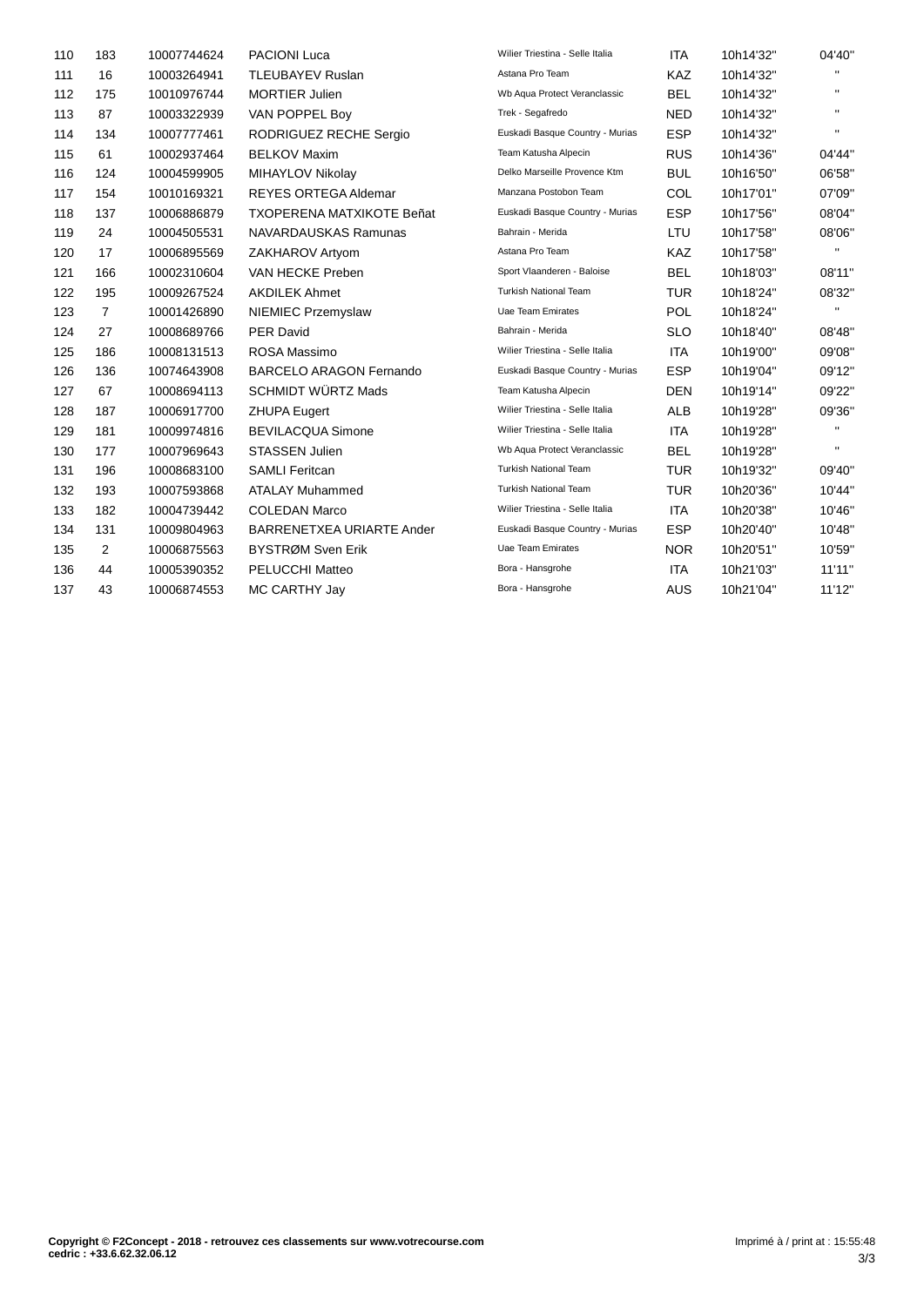| 110 | 183            | 10007744624 | <b>PACIONI Luca</b>              | Wilier Triestina - Selle Italia | <b>ITA</b> | 10h14'32" | 04'40"       |
|-----|----------------|-------------|----------------------------------|---------------------------------|------------|-----------|--------------|
| 111 | 16             | 10003264941 | <b>TLEUBAYEV Ruslan</b>          | Astana Pro Team                 | KAZ        | 10h14'32" | π.           |
| 112 | 175            | 10010976744 | <b>MORTIER Julien</b>            | Wb Aqua Protect Veranclassic    | <b>BEL</b> | 10h14'32" | $\mathbf{H}$ |
| 113 | 87             | 10003322939 | VAN POPPEL Boy                   | Trek - Segafredo                | <b>NED</b> | 10h14'32" | п.           |
| 114 | 134            | 10007777461 | RODRIGUEZ RECHE Sergio           | Euskadi Basque Country - Murias | <b>ESP</b> | 10h14'32" | $\mathbf{H}$ |
| 115 | 61             | 10002937464 | <b>BELKOV Maxim</b>              | Team Katusha Alpecin            | <b>RUS</b> | 10h14'36" | 04'44"       |
| 116 | 124            | 10004599905 | MIHAYLOV Nikolay                 | Delko Marseille Provence Ktm    | <b>BUL</b> | 10h16'50" | 06'58"       |
| 117 | 154            | 10010169321 | <b>REYES ORTEGA Aldemar</b>      | Manzana Postobon Team           | COL        | 10h17'01" | 07'09"       |
| 118 | 137            | 10006886879 | <b>TXOPERENA MATXIKOTE Beñat</b> | Euskadi Basque Country - Murias | <b>ESP</b> | 10h17'56" | 08'04"       |
| 119 | 24             | 10004505531 | NAVARDAUSKAS Ramunas             | Bahrain - Merida                | <b>LTU</b> | 10h17'58" | 08'06"       |
| 120 | 17             | 10006895569 | ZAKHAROV Artyom                  | Astana Pro Team                 | <b>KAZ</b> | 10h17'58" | $\mathbf{H}$ |
| 121 | 166            | 10002310604 | VAN HECKE Preben                 | Sport Vlaanderen - Baloise      | <b>BEL</b> | 10h18'03" | 08'11"       |
| 122 | 195            | 10009267524 | <b>AKDILEK Ahmet</b>             | <b>Turkish National Team</b>    | <b>TUR</b> | 10h18'24" | 08'32"       |
| 123 | $\overline{7}$ | 10001426890 | <b>NIEMIEC Przemyslaw</b>        | <b>Uae Team Emirates</b>        | <b>POL</b> | 10h18'24" | $\mathbf{H}$ |
| 124 | 27             | 10008689766 | <b>PER David</b>                 | Bahrain - Merida                | <b>SLO</b> | 10h18'40" | 08'48"       |
| 125 | 186            | 10008131513 | ROSA Massimo                     | Wilier Triestina - Selle Italia | ITA        | 10h19'00" | 09'08"       |
| 126 | 136            | 10074643908 | <b>BARCELO ARAGON Fernando</b>   | Euskadi Basque Country - Murias | <b>ESP</b> | 10h19'04" | 09'12"       |
| 127 | 67             | 10008694113 | <b>SCHMIDT WÜRTZ Mads</b>        | Team Katusha Alpecin            | <b>DEN</b> | 10h19'14" | 09'22"       |
| 128 | 187            | 10006917700 | <b>ZHUPA Eugert</b>              | Wilier Triestina - Selle Italia | <b>ALB</b> | 10h19'28" | 09'36"       |
| 129 | 181            | 10009974816 | <b>BEVILACQUA Simone</b>         | Wilier Triestina - Selle Italia | <b>ITA</b> | 10h19'28" | $\mathbf{H}$ |
| 130 | 177            | 10007969643 | <b>STASSEN Julien</b>            | Wb Aqua Protect Veranclassic    | <b>BEL</b> | 10h19'28" | $\mathbf{H}$ |
| 131 | 196            | 10008683100 | <b>SAMLI Feritcan</b>            | <b>Turkish National Team</b>    | <b>TUR</b> | 10h19'32" | 09'40"       |
| 132 | 193            | 10007593868 | <b>ATALAY Muhammed</b>           | <b>Turkish National Team</b>    | <b>TUR</b> | 10h20'36" | 10'44"       |
| 133 | 182            | 10004739442 | <b>COLEDAN Marco</b>             | Wilier Triestina - Selle Italia | <b>ITA</b> | 10h20'38" | 10'46"       |
| 134 | 131            | 10009804963 | BARRENETXEA URIARTE Ander        | Euskadi Basque Country - Murias | <b>ESP</b> | 10h20'40" | 10'48"       |
| 135 | 2              | 10006875563 | BYSTRØM Sven Erik                | Uae Team Emirates               | <b>NOR</b> | 10h20'51" | 10'59"       |
| 136 | 44             | 10005390352 | PELUCCHI Matteo                  | Bora - Hansgrohe                | <b>ITA</b> | 10h21'03" | 11'11"       |
| 137 | 43             | 10006874553 | MC CARTHY Jay                    | Bora - Hansgrohe                | <b>AUS</b> | 10h21'04" | 11'12"       |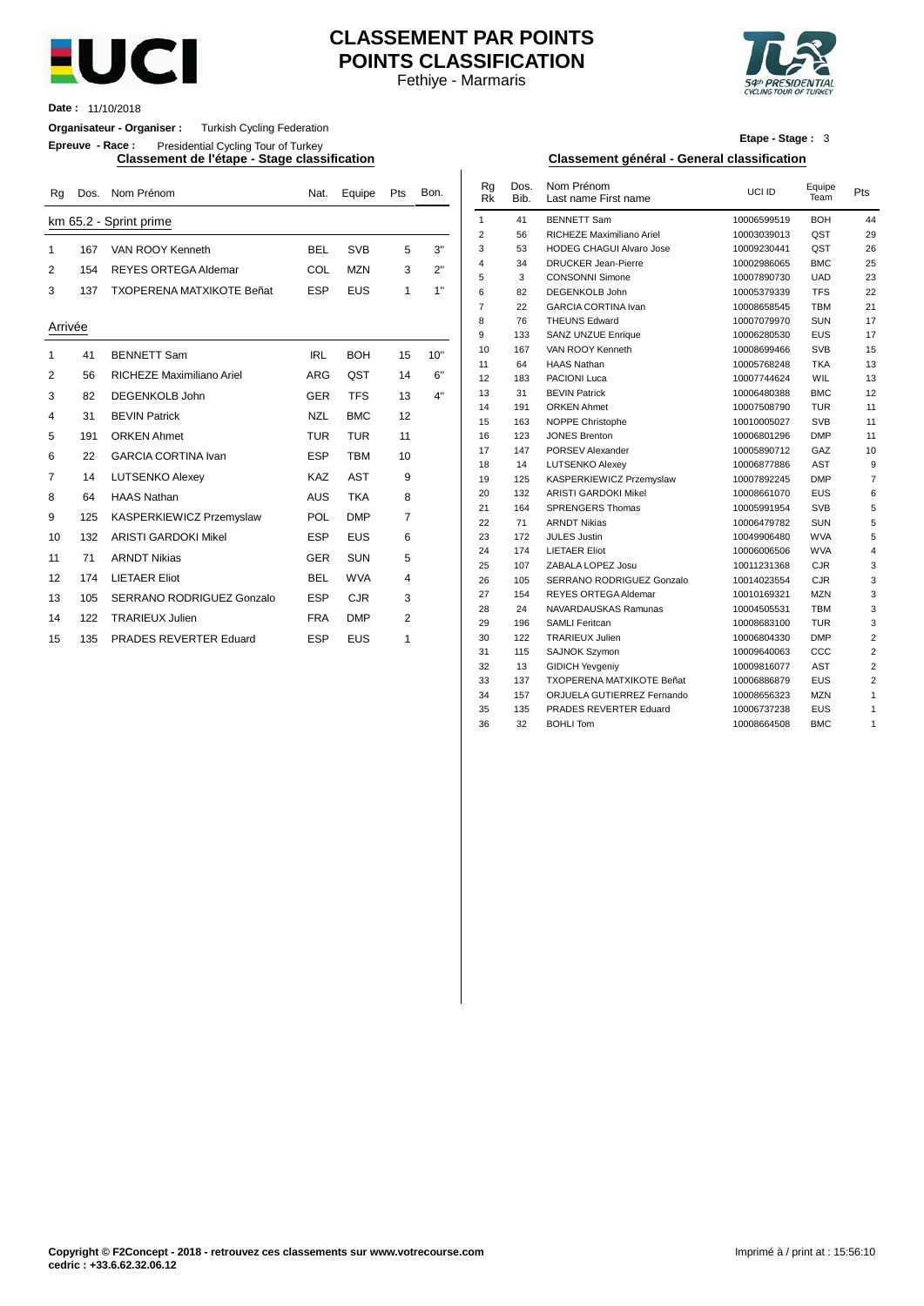

# Fethiye - Marmaris **CLASSEMENT PAR POINTS POINTS CLASSIFICATION**



**Date :** 11/10/2018

### **Organisateur - Organiser :** Turkish Cycling Federation

**Epreuve - Race :** Presidential Cycling Tour of Turkey

| Rg          | Dos. | Nom Prénom                       | Nat.       | Equipe     | Pts            | Bon. | Rg<br><b>Rk</b> | Dos.<br>Bib. | Nom Prénom<br>Last name First name        | UCI ID                     | Equipe<br>Team    | Pts             |
|-------------|------|----------------------------------|------------|------------|----------------|------|-----------------|--------------|-------------------------------------------|----------------------------|-------------------|-----------------|
|             |      | km 65.2 - Sprint prime           |            |            |                |      | $\mathbf{1}$    | 41           | <b>BENNETT Sam</b>                        | 10006599519                | <b>BOH</b>        | 44              |
|             |      |                                  |            |            |                |      | 2               | 56           | RICHEZE Maximiliano Ariel                 | 10003039013                | QST               | 29              |
| $\mathbf 1$ | 167  | VAN ROOY Kenneth                 | <b>BEL</b> | <b>SVB</b> | 5              | 3"   | 3               | 53           | <b>HODEG CHAGUI Alvaro Jose</b>           | 10009230441                | QST               | 26              |
| 2           | 154  | <b>REYES ORTEGA Aldemar</b>      | COL        | <b>MZN</b> | 3              | 2"   | 4               | 34           | <b>DRUCKER Jean-Pierre</b>                | 10002986065                | <b>BMC</b>        | 25              |
|             |      |                                  |            |            |                |      | 5               | 3            | <b>CONSONNI Simone</b>                    | 10007890730                | <b>UAD</b>        | 23              |
| 3           | 137  | <b>TXOPERENA MATXIKOTE Beñat</b> | <b>ESP</b> | <b>EUS</b> | 1              | 1"   | 6               | 82           | <b>DEGENKOLB John</b>                     | 10005379339                | <b>TFS</b>        | $\overline{22}$ |
|             |      |                                  |            |            |                |      | $\overline{7}$  | 22           | <b>GARCIA CORTINA Ivan</b>                | 10008658545                | <b>TBM</b>        | 21              |
| Arrivée     |      |                                  |            |            |                |      | 8               | 76           | <b>THEUNS Edward</b>                      | 10007079970                | <b>SUN</b>        | 17              |
|             |      |                                  |            |            |                |      | 9               | 133          | <b>SANZ UNZUE Enrique</b>                 | 10006280530                | <b>EUS</b>        | 17              |
| $\mathbf 1$ | 41   | <b>BENNETT Sam</b>               | <b>IRL</b> | <b>BOH</b> | 15             | 10"  | 10              | 167          | VAN ROOY Kenneth                          | 10008699466                | <b>SVB</b>        | 15              |
|             |      |                                  |            |            |                |      | 11              | 64           | <b>HAAS Nathan</b>                        | 10005768248                | <b>TKA</b>        | 13              |
| 2           | 56   | RICHEZE Maximiliano Ariel        | <b>ARG</b> | QST        | 14             | 6"   | 12              | 183          | <b>PACIONI Luca</b>                       | 10007744624                | WIL               | 13              |
| 3           | 82   | <b>DEGENKOLB John</b>            | <b>GER</b> | <b>TFS</b> | 13             | 4"   | 13              | 31           | <b>BEVIN Patrick</b>                      | 10006480388                | <b>BMC</b>        | 12              |
| 4           | 31   | <b>BEVIN Patrick</b>             | <b>NZL</b> | <b>BMC</b> | 12             |      | 14              | 191          | <b>ORKEN Ahmet</b>                        | 10007508790                | <b>TUR</b>        | 11              |
|             |      |                                  |            |            |                |      | 15              | 163          | <b>NOPPE Christophe</b>                   | 10010005027                | <b>SVB</b>        | 11              |
| 5           | 191  | <b>ORKEN Ahmet</b>               | <b>TUR</b> | <b>TUR</b> | 11             |      | 16              | 123          | <b>JONES Brenton</b>                      | 10006801296                | <b>DMP</b>        | 11              |
| 6           | 22   | <b>GARCIA CORTINA Ivan</b>       | <b>ESP</b> | <b>TBM</b> | 10             |      | 17              | 147          | PORSEV Alexander                          | 10005890712                | GAZ               | 1 <sub>0</sub>  |
|             |      |                                  | <b>KAZ</b> | <b>AST</b> | 9              |      | 18              | 14           | <b>LUTSENKO Alexey</b>                    | 10006877886                | <b>AST</b>        |                 |
| 7           | 14   | <b>LUTSENKO Alexey</b>           |            |            |                |      | 19              | 125          | KASPERKIEWICZ Przemyslaw                  | 10007892245                | <b>DMP</b>        |                 |
| 8           | 64   | <b>HAAS Nathan</b>               | <b>AUS</b> | <b>TKA</b> | 8              |      | 20              | 132          | <b>ARISTI GARDOKI Mikel</b>               | 10008661070                | EUS               |                 |
| 9           | 125  | KASPERKIEWICZ Przemyslaw         | POL        | <b>DMP</b> | $\overline{7}$ |      | 21              | 164          | <b>SPRENGERS Thomas</b>                   | 10005991954                | <b>SVB</b>        |                 |
|             |      |                                  |            |            |                |      | 22              | 71           | <b>ARNDT Nikias</b>                       | 10006479782                | <b>SUN</b>        |                 |
| 10          | 132  | <b>ARISTI GARDOKI Mikel</b>      | <b>ESP</b> | <b>EUS</b> | 6              |      | 23              | 172          | <b>JULES Justin</b>                       | 10049906480                | <b>WVA</b>        |                 |
| 11          | 71   | <b>ARNDT Nikias</b>              | <b>GER</b> | <b>SUN</b> | 5              |      | 24<br>25        | 174          | <b>LIETAER Eliot</b><br>ZABALA LOPEZ Josu | 10006006506<br>10011231368 | <b>WVA</b><br>CJR |                 |
| 12          | 174  | <b>LIETAER Eliot</b>             | <b>BEL</b> | <b>WVA</b> | 4              |      | 26              | 107<br>105   | SERRANO RODRIGUEZ Gonzalo                 | 10014023554                | CJR               |                 |
|             |      |                                  |            |            |                |      | 27              | 154          | <b>REYES ORTEGA Aldemar</b>               | 10010169321                | <b>MZN</b>        |                 |
| 13          | 105  | SERRANO RODRIGUEZ Gonzalo        | <b>ESP</b> | <b>CJR</b> | 3              |      | 28              | 24           | NAVARDAUSKAS Ramunas                      | 10004505531                | <b>TBM</b>        |                 |
| 14          | 122  | <b>TRARIEUX Julien</b>           | <b>FRA</b> | <b>DMP</b> | $\overline{2}$ |      | 29              | 196          | <b>SAMLI Feritcan</b>                     | 10008683100                | <b>TUR</b>        |                 |
| 15          | 135  | <b>PRADES REVERTER Eduard</b>    | <b>ESP</b> | <b>EUS</b> | 1              |      | 30              | 122          | <b>TRARIEUX Julien</b>                    | 10006804330                | <b>DMP</b>        |                 |

| Etape - Stage: 3 |  |
|------------------|--|
|------------------|--|

#### **Classement de l'étape - Stage classification Classement général - General classification**

| Nat.       | Equipe     | Pts            | Bon. | Rg<br><b>Rk</b> | Dos.<br>Bib. | Nom Prénom<br>Last name First name | UCI ID      | Equipe<br>Team | Pts              |
|------------|------------|----------------|------|-----------------|--------------|------------------------------------|-------------|----------------|------------------|
|            |            |                |      | $\mathbf{1}$    | 41           | <b>BENNETT Sam</b>                 | 10006599519 | <b>BOH</b>     | 44               |
|            |            |                |      | $\overline{2}$  | 56           | RICHEZE Maximiliano Ariel          | 10003039013 | QST            | 29               |
| BEL        | <b>SVB</b> | 5              | 3"   | 3               | 53           | <b>HODEG CHAGUI Alvaro Jose</b>    | 10009230441 | QST            | 26               |
|            |            |                |      | 4               | 34           | <b>DRUCKER Jean-Pierre</b>         | 10002986065 | <b>BMC</b>     | 25               |
| COL        | <b>MZN</b> | 3              | 2"   | 5               | 3            | <b>CONSONNI Simone</b>             | 10007890730 | <b>UAD</b>     | 23               |
| ESP        | <b>EUS</b> | 1              | 1"   | 6               | 82           | DEGENKOLB John                     | 10005379339 | <b>TFS</b>     | 22               |
|            |            |                |      | $\overline{7}$  | 22           | <b>GARCIA CORTINA Ivan</b>         | 10008658545 | <b>TBM</b>     | 21               |
|            |            |                |      | 8               | 76           | <b>THEUNS Edward</b>               | 10007079970 | <b>SUN</b>     | 17               |
|            |            |                |      | 9               | 133          | SANZ UNZUE Enrique                 | 10006280530 | <b>EUS</b>     | 17               |
| <b>IRL</b> | <b>BOH</b> | 15             | 10"  | 10              | 167          | VAN ROOY Kenneth                   | 10008699466 | <b>SVB</b>     | 15               |
|            |            |                |      | 11              | 64           | <b>HAAS Nathan</b>                 | 10005768248 | <b>TKA</b>     | 13               |
| ARG        | QST        | 14             | 6"   | 12              | 183          | PACIONI Luca                       | 10007744624 | WIL            | 13               |
| GER        | <b>TFS</b> | 13             | 4"   | 13              | 31           | <b>BEVIN Patrick</b>               | 10006480388 | <b>BMC</b>     | 12               |
|            |            |                |      | 14              | 191          | <b>ORKEN Ahmet</b>                 | 10007508790 | <b>TUR</b>     | 11               |
| NZL        | <b>BMC</b> | 12             |      | 15              | 163          | <b>NOPPE Christophe</b>            | 10010005027 | <b>SVB</b>     | 11               |
| TUR        | <b>TUR</b> | 11             |      | 16              | 123          | <b>JONES Brenton</b>               | 10006801296 | <b>DMP</b>     | 11               |
| ESP        | <b>TBM</b> | 10             |      | 17              | 147          | PORSEV Alexander                   | 10005890712 | GAZ            | 10               |
|            |            |                |      | 18              | 14           | <b>LUTSENKO Alexey</b>             | 10006877886 | AST            | $\boldsymbol{9}$ |
| KAZ        | <b>AST</b> | 9              |      | 19              | 125          | KASPERKIEWICZ Przemyslaw           | 10007892245 | <b>DMP</b>     | $\overline{7}$   |
| AUS        | <b>TKA</b> | 8              |      | 20              | 132          | <b>ARISTI GARDOKI Mikel</b>        | 10008661070 | <b>EUS</b>     | 6                |
| POL        | <b>DMP</b> | $\overline{7}$ |      | 21              | 164          | <b>SPRENGERS Thomas</b>            | 10005991954 | <b>SVB</b>     | 5                |
|            |            |                |      | 22              | 71           | <b>ARNDT Nikias</b>                | 10006479782 | <b>SUN</b>     | 5                |
| ESP        | <b>EUS</b> | 6              |      | 23              | 172          | <b>JULES Justin</b>                | 10049906480 | <b>WVA</b>     | 5                |
| GER        | <b>SUN</b> | 5              |      | 24              | 174          | <b>LIETAER Eliot</b>               | 10006006506 | <b>WVA</b>     | $\overline{4}$   |
|            |            |                |      | 25              | 107          | ZABALA LOPEZ Josu                  | 10011231368 | <b>CJR</b>     | 3                |
| <b>BEL</b> | <b>WVA</b> | 4              |      | 26              | 105          | SERRANO RODRIGUEZ Gonzalo          | 10014023554 | <b>CJR</b>     | 3                |
| ESP        | <b>CJR</b> | 3              |      | 27              | 154          | <b>REYES ORTEGA Aldemar</b>        | 10010169321 | <b>MZN</b>     | 3                |
| FRA        | <b>DMP</b> | 2              |      | 28              | 24           | NAVARDAUSKAS Ramunas               | 10004505531 | <b>TBM</b>     | 3                |
|            |            |                |      | 29              | 196          | <b>SAMLI Feritcan</b>              | 10008683100 | <b>TUR</b>     | 3                |
| ESP        | <b>EUS</b> | 1              |      | 30              | 122          | <b>TRARIEUX Julien</b>             | 10006804330 | <b>DMP</b>     | $\overline{2}$   |
|            |            |                |      | 31              | 115          | SAJNOK Szymon                      | 10009640063 | CCC            | $\overline{2}$   |
|            |            |                |      | 32              | 13           | <b>GIDICH Yevgeniy</b>             | 10009816077 | AST            | $\overline{2}$   |
|            |            |                |      | 33              | 137          | TXOPERENA MATXIKOTE Beñat          | 10006886879 | <b>EUS</b>     | $\overline{2}$   |
|            |            |                |      | 34              | 157          | ORJUELA GUTIERREZ Fernando         | 10008656323 | <b>MZN</b>     | $\mathbf{1}$     |
|            |            |                |      | 35              | 135          | PRADES REVERTER Eduard             | 10006737238 | <b>EUS</b>     | $\mathbf{1}$     |
|            |            |                |      | 36              | 32           | <b>BOHLI Tom</b>                   | 10008664508 | <b>BMC</b>     | $\mathbf{1}$     |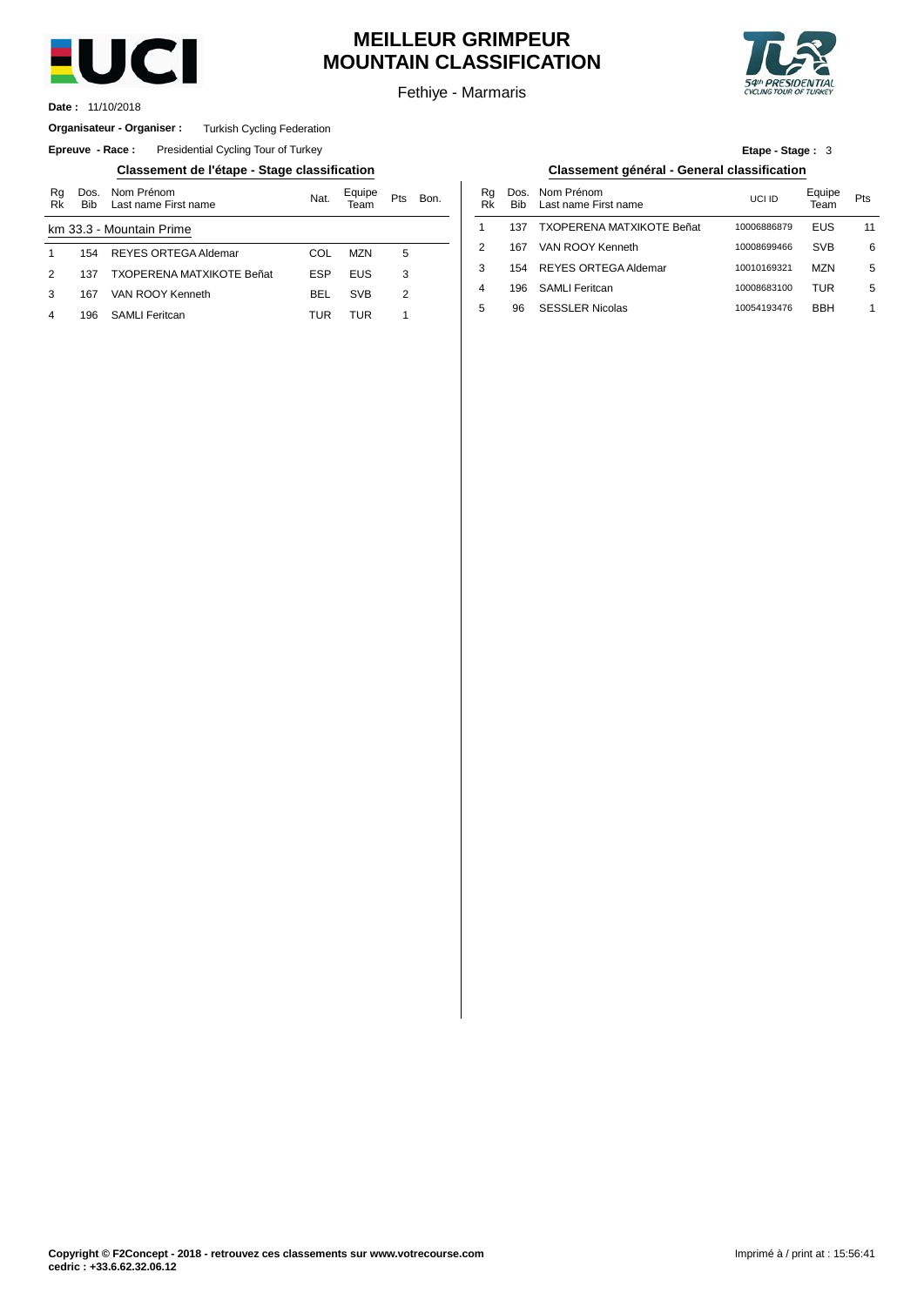

# **MEILLEUR GRIMPEUR MOUNTAIN CLASSIFICATION**

Fethiye - Marmaris

196 SAMLI Feritcan

SESSLER Nicolas



**Etape - Stage :** 3

10008683100

10054193476

5

TUR BBH

1

11/10/2018 **Date :**

#### **Organisateur - Organiser :** Turkish Cycling Federation

**Epreuve - Race:** Presidential Cycling Tour of Turkey

### **Classement de l'étape - Stage classification Classement général - General classification**

| Rg<br>Rk | Dos.<br><b>Bib</b> | Nom Prénom<br>Last name First name | Nat.       | Equipe<br>Геаm | Pts | Bon. | Rg<br>Rk       | Dos<br><b>Bib</b> |
|----------|--------------------|------------------------------------|------------|----------------|-----|------|----------------|-------------------|
|          |                    | km 33.3 - Mountain Prime           |            |                |     |      |                | 137               |
|          | 154                | REYES ORTEGA Aldemar               | COL        | <b>MZN</b>     | 5   |      | $\overline{2}$ | 167               |
| 2        | 137                | <b>TXOPERENA MATXIKOTE Beñat</b>   | <b>ESP</b> | <b>EUS</b>     | 3   |      | 3              | 154               |
| з        | 167                | VAN ROOY Kenneth                   | <b>BEL</b> | <b>SVB</b>     | 2   |      | 4              | 196               |
|          | 196                | <b>SAMLI Feritcan</b>              | TUR        | TUR            |     |      | 5              | 96                |
|          |                    |                                    |            |                |     |      |                |                   |

|      |          |      | Classement général - General classification |              |                |     |
|------|----------|------|---------------------------------------------|--------------|----------------|-----|
| Bon. | Ra<br>Rk | Bib. | Dos. Nom Prénom<br>Last name First name     | <b>UCLID</b> | Equipe<br>Team | Pts |
|      |          | 137  | <b>TXOPERENA MATXIKOTE Beñat</b>            | 10006886879  | EUS            | 11  |
|      | 2        | 167  | VAN ROOY Kenneth                            | 10008699466  | <b>SVB</b>     | 6   |
|      | 3        | 154  | <b>REYES ORTEGA Aldemar</b>                 | 10010169321  | M7N            | 5   |

| Copyright © F2Concept - 2018 - retrouvez ces classements sur www.votrecourse.com |  |
|----------------------------------------------------------------------------------|--|
| cedric : +33.6.62.32.06.12                                                       |  |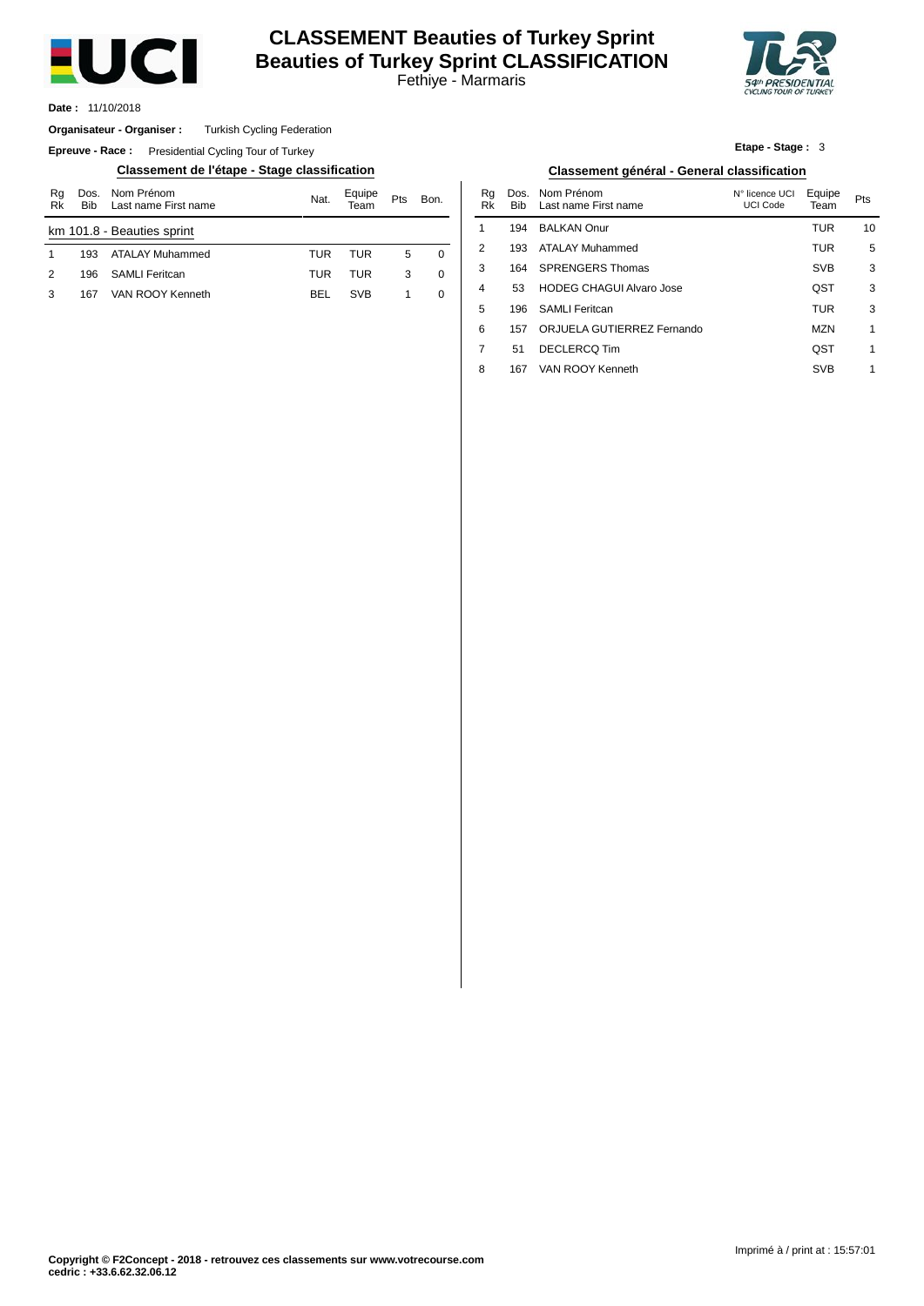

# Fethiye - Marmaris **CLASSEMENT Beauties of Turkey Sprint Beauties of Turkey Sprint CLASSIFICATION**



11/10/2018 **Date :**

#### **Organisateur - Organiser :** Turkish Cycling Federation

**Epreuve - Race:** Presidential Cycling Tour of Turkey

### **Classement de l'étape - Stage classification Classement général - General classification**

| Rg<br>Rk                   | <b>Bib</b> | Dos. Nom Prénom<br>Last name First name | Nat. | Equipe<br>$\tau$ eam | Pts<br>Bon. |          |  |  |
|----------------------------|------------|-----------------------------------------|------|----------------------|-------------|----------|--|--|
| km 101.8 - Beauties sprint |            |                                         |      |                      |             |          |  |  |
| 1                          | 193        | ATALAY Muhammed                         | TUR  | TUR                  | 5           | $\Omega$ |  |  |
| 2                          | 196        | <b>SAMLI</b> Feritcan                   | TUR  | <b>TUR</b>           | 3           | ∩        |  |  |
| з                          | 167        | VAN ROOY Kenneth                        | BEL  | <b>SVB</b>           |             | 0        |  |  |
|                            |            |                                         |      |                      |             |          |  |  |

| Etape - Stage: 3 |  |
|------------------|--|
|                  |  |

| Bon.           | Rq<br>Rk       | Dos.<br>Bib | Nom Prénom<br>Last name First name | N° licence UCI<br><b>UCI Code</b> | Equipe<br>Team | Pts |
|----------------|----------------|-------------|------------------------------------|-----------------------------------|----------------|-----|
|                | 1              | 194         | <b>BALKAN Onur</b>                 |                                   | TUR            | 10  |
| $\overline{0}$ | $\mathfrak{p}$ | 193         | ATALAY Muhammed                    |                                   | <b>TUR</b>     | 5   |
| $\mathbf 0$    | 3              | 164         | <b>SPRENGERS Thomas</b>            |                                   | <b>SVB</b>     | 3   |
| $\mathbf 0$    | 4              | 53          | <b>HODEG CHAGUI Alvaro Jose</b>    |                                   | OST            | 3   |
|                | 5              | 196         | <b>SAMLI Feritcan</b>              |                                   | <b>TUR</b>     | 3   |
|                | 6              | 157         | ORJUELA GUTIERREZ Fernando         |                                   | <b>MZN</b>     | 1   |
|                | 7              | 51          | DECLERCO Tim                       |                                   | OST            | 1   |
|                | 8              | 167         | VAN ROOY Kenneth                   |                                   | <b>SVB</b>     | 1   |
|                |                |             |                                    |                                   |                |     |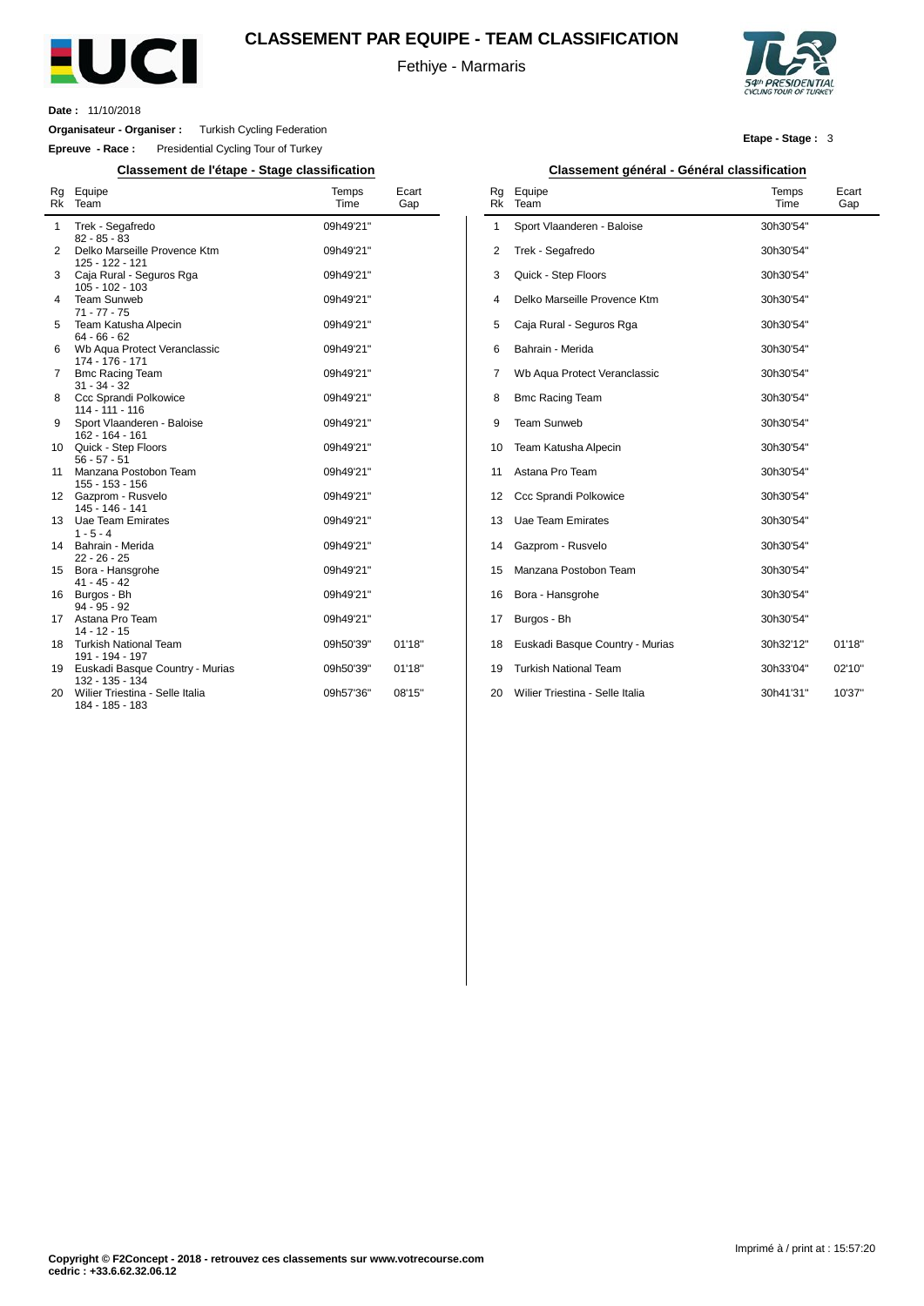

## **CLASSEMENT PAR EQUIPE - TEAM CLASSIFICATION**

Fethiye - Marmaris



**Date :** 11/10/2018

 $\overline{a}$ 

**Organisateur - Organiser :** Turkish Cycling Federation

**Epreuve - Race :** Presidential Cycling Tour of Turkey

**Classement de l'étape - Stage classification Classement général - Général classification**

| Rg<br>Rk | Equipe<br>Team                                                        | Temps<br>Time          | Ecart<br>Gap |
|----------|-----------------------------------------------------------------------|------------------------|--------------|
| 1        | Trek - Segafredo<br>$82 - 85 - 83$                                    | 09h49'21"              |              |
| 2        | Delko Marseille Provence Ktm<br>125 - 122 - 121                       | 09h49'21"              |              |
| 3        | Caja Rural - Seguros Rga<br>105 - 102 - 103                           | 09h49'21"              |              |
| 4        | <b>Team Sunweb</b><br>$71 - 77 - 75$                                  | 09h49'21"              |              |
| 5        | Team Katusha Alpecin<br>$64 - 66 - 62$                                | 09h49'21"              |              |
| 6        | Wb Aqua Protect Veranclassic<br>174 - 176 - 171                       | 09h49'21"              |              |
| 7        | <b>Bmc Racing Team</b><br>$31 - 34 - 32$                              | 09h49'21"              |              |
| 8        | Ccc Sprandi Polkowice<br>114 - 111 - 116                              | 09h49'21"              |              |
| 9        | Sport Vlaanderen - Baloise<br>162 - 164 - 161                         | 09h49'21"              |              |
| 10<br>11 | Quick - Step Floors<br>$56 - 57 - 51$<br>Manzana Postobon Team        | 09h49'21"<br>09h49'21" |              |
| 12       | 155 - 153 - 156<br>Gazprom - Rusvelo                                  | 09h49'21"              |              |
| 13       | 145 - 146 - 141<br><b>Uae Team Emirates</b>                           | 09h49'21"              |              |
| 14       | $1 - 5 - 4$<br>Bahrain - Merida                                       | 09h49'21"              |              |
| 15       | $22 - 26 - 25$<br>Bora - Hansgrohe                                    | 09h49'21"              |              |
| 16       | $41 - 45 - 42$<br>Burgos - Bh                                         | 09h49'21"              |              |
| 17       | $94 - 95 - 92$<br>Astana Pro Team                                     | 09h49'21"              |              |
| 18       | $14 - 12 - 15$<br><b>Turkish National Team</b>                        | 09h50'39"              | 01'18"       |
| 19       | 191 - 194 - 197<br>Euskadi Basque Country - Murias<br>132 - 135 - 134 | 09h50'39"              | 01'18"       |
| 20       | Wilier Triestina - Selle Italia<br>184 - 185 - 183                    | 09h57'36"              | 08'15"       |

#### **Etape - Stage :** 3

| Rg<br>Rk | .<br>Equipe<br>Team             | Temps<br>Time | Ecart<br>Gap |
|----------|---------------------------------|---------------|--------------|
| 1        | Sport Vlaanderen - Baloise      | 30h30'54"     |              |
| 2        | Trek - Segafredo                | 30h30'54"     |              |
| 3        | Quick - Step Floors             | 30h30'54"     |              |
| 4        | Delko Marseille Provence Ktm    | 30h30'54"     |              |
| 5        | Caja Rural - Seguros Rga        | 30h30'54"     |              |
| 6        | Bahrain - Merida                | 30h30'54"     |              |
| 7        | Wb Aqua Protect Veranclassic    | 30h30'54"     |              |
| 8        | <b>Bmc Racing Team</b>          | 30h30'54"     |              |
| 9        | <b>Team Sunweb</b>              | 30h30'54"     |              |
| 10       | Team Katusha Alpecin            | 30h30'54"     |              |
| 11       | Astana Pro Team                 | 30h30'54"     |              |
| 12       | Ccc Sprandi Polkowice           | 30h30'54"     |              |
| 13       | Uae Team Emirates               | 30h30'54"     |              |
| 14       | Gazprom - Rusvelo               | 30h30'54"     |              |
| 15       | Manzana Postobon Team           | 30h30'54"     |              |
| 16       | Bora - Hansgrohe                | 30h30'54"     |              |
| 17       | Burgos - Bh                     | 30h30'54"     |              |
| 18       | Euskadi Basque Country - Murias | 30h32'12"     | 01'18"       |
| 19       | <b>Turkish National Team</b>    | 30h33'04"     | 02'10"       |
| 20       | Wilier Triestina - Selle Italia | 30h41'31"     | 10'37"       |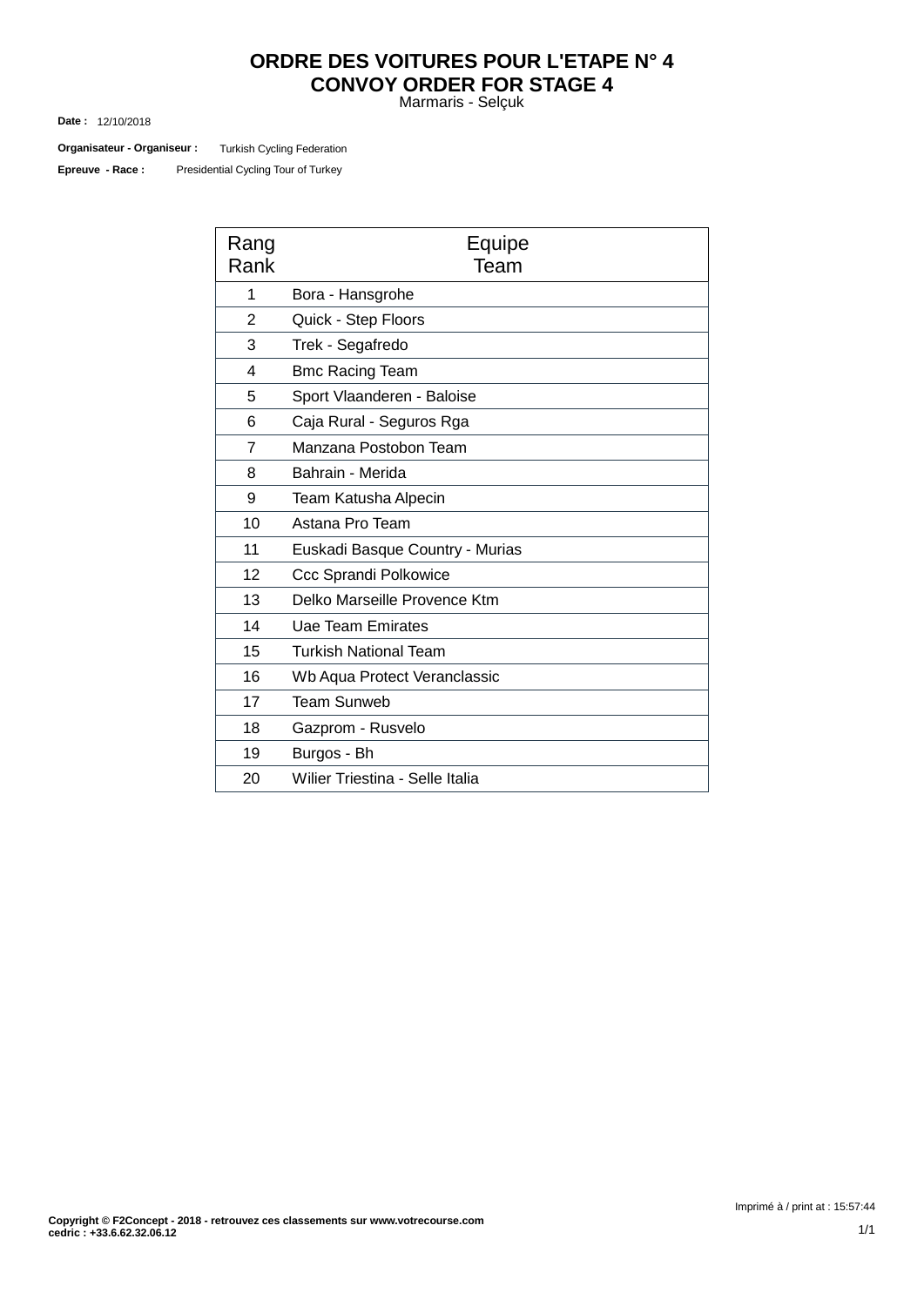# **ORDRE DES VOITURES POUR L'ETAPE N° 4 CONVOY ORDER FOR STAGE 4**

Marmaris - Selçuk

12/10/2018 **Date :**

Turkish Cycling Federation **Organisateur - Organiseur :**

Presidential Cycling Tour of Turkey **Epreuve - Race :**

| Rang<br>Rank   | Equipe<br>Team                  |
|----------------|---------------------------------|
| 1              | Bora - Hansgrohe                |
| $\overline{2}$ | Quick - Step Floors             |
| 3              | Trek - Segafredo                |
| 4              | <b>Bmc Racing Team</b>          |
| 5              | Sport Vlaanderen - Baloise      |
| 6              | Caja Rural - Seguros Rga        |
| $\overline{7}$ | Manzana Postobon Team           |
| 8              | Bahrain - Merida                |
| 9              | Team Katusha Alpecin            |
| 10             | Astana Pro Team                 |
| 11             | Euskadi Basque Country - Murias |
| 12             | Ccc Sprandi Polkowice           |
| 13             | Delko Marseille Provence Ktm    |
| 14             | Uae Team Emirates               |
| 15             | <b>Turkish National Team</b>    |
| 16             | Wb Aqua Protect Veranclassic    |
| 17             | <b>Team Sunweb</b>              |
| 18             | Gazprom - Rusvelo               |
| 19             | Burgos - Bh                     |
| 20             | Wilier Triestina - Selle Italia |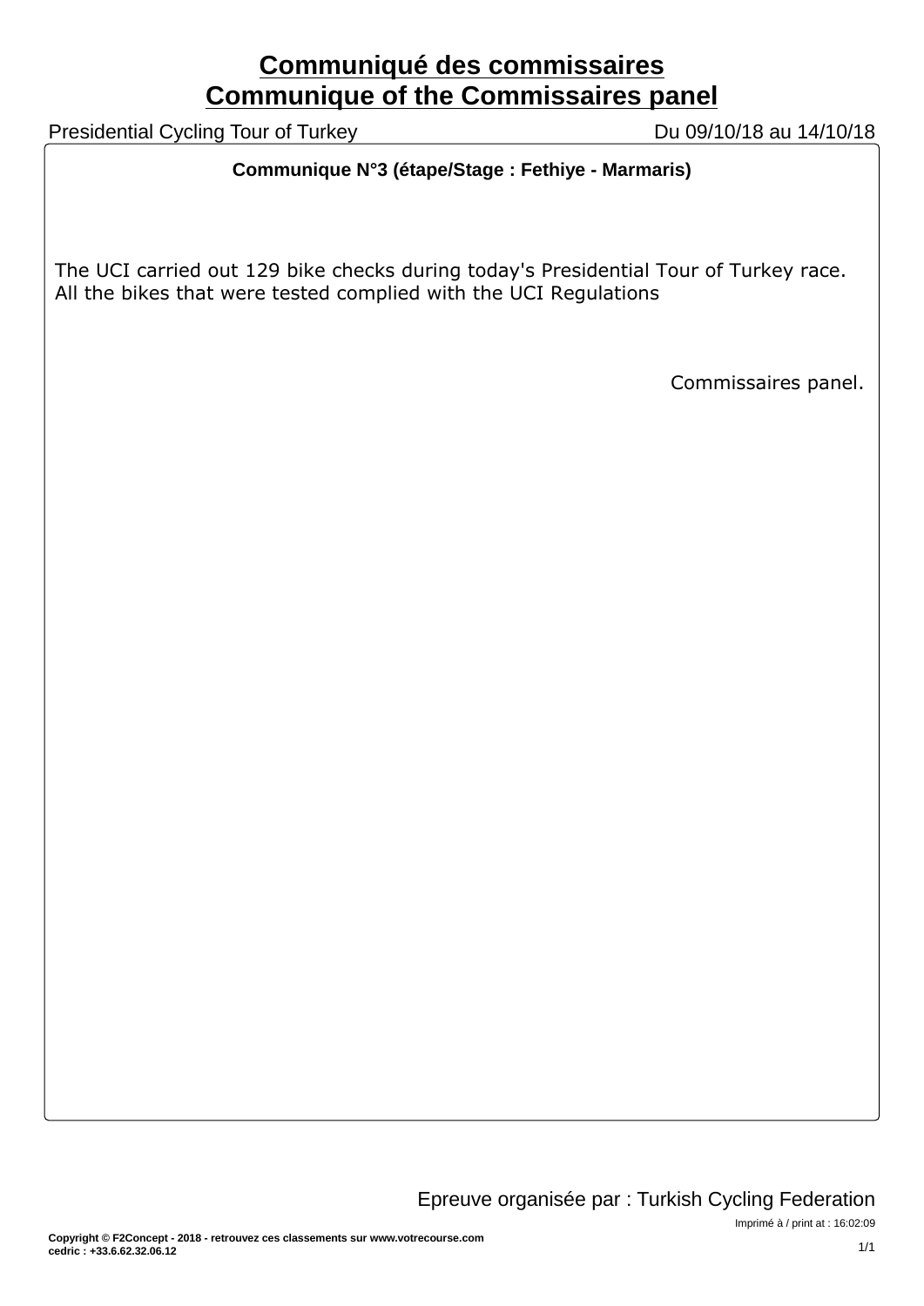# **Communiqué des commissaires Communique of the Commissaires panel**

Presidential Cycling Tour of Turkey Du 09/10/18 au 14/10/18

# **Communique N°3 (étape/Stage : Fethiye - Marmaris)**

The UCI carried out 129 bike checks during today's Presidential Tour of Turkey race. All the bikes that were tested complied with the UCI Regulations

Commissaires panel.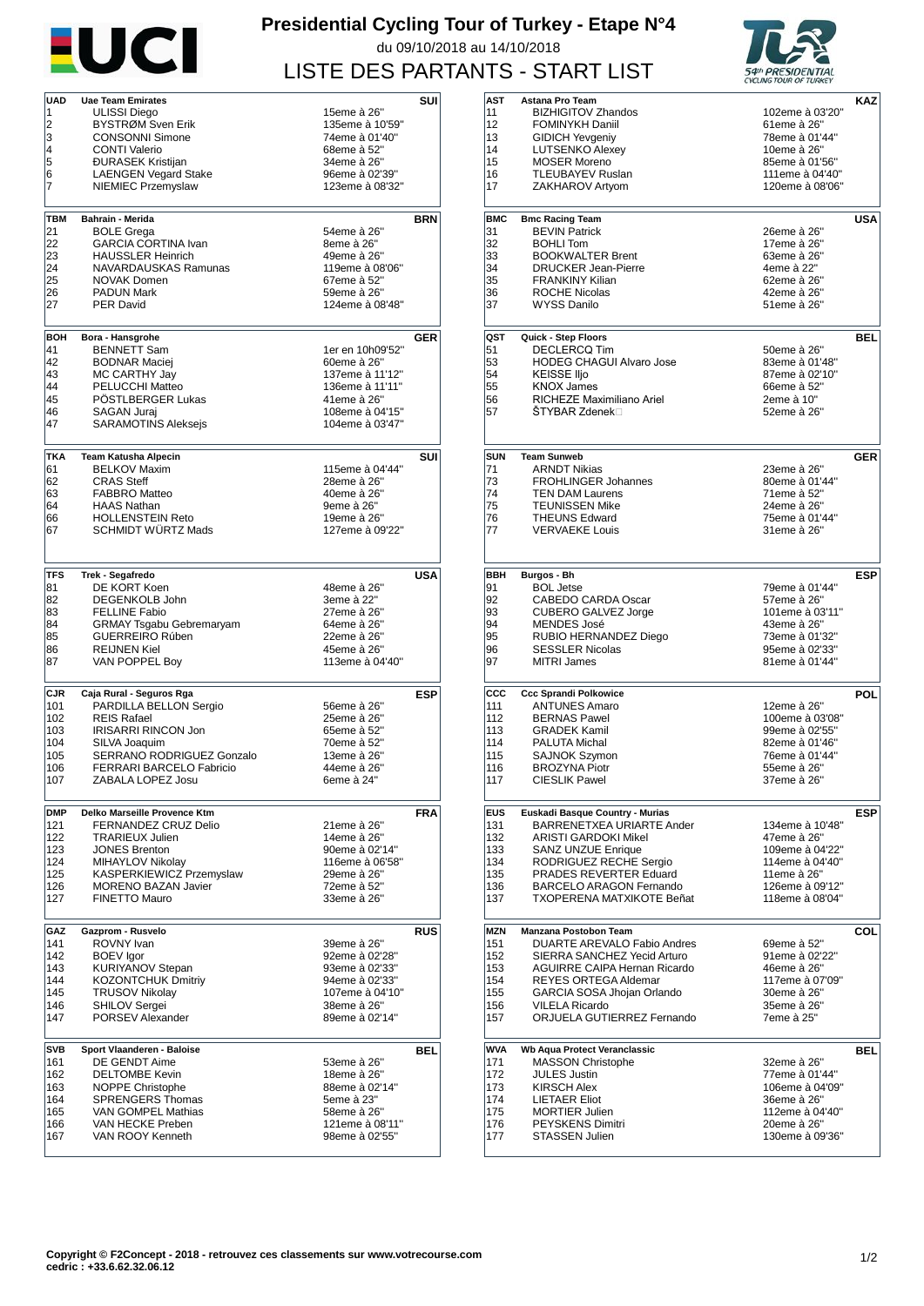

# **Presidential Cycling Tour of Turkey - Etape N°4** du 09/10/2018 au 14/10/2018 LISTE DES PARTANTS - START LIST



| <b>UAD</b> | <b>Uae Team Emirates</b>             |                                   | SUI        |
|------------|--------------------------------------|-----------------------------------|------------|
| 1          | ULISSI Diego                         | 15eme à 26"                       |            |
| 2          | BYSTRØM Sven Erik                    | 135eme à 10'59"                   |            |
|            |                                      |                                   |            |
| 3          | <b>CONSONNI Simone</b>               | 74eme à 01'40"                    |            |
| 4          | <b>CONTI Valerio</b>                 | 68eme à 52"                       |            |
| 5          | <b>ĐURASEK Kristijan</b>             | 34eme à 26"                       |            |
| 6          | <b>LAENGEN Vegard Stake</b>          | 96eme à 02'39"                    |            |
| 7          | NIEMIEC Przemyslaw                   | 123eme à 08'32"                   |            |
|            |                                      |                                   |            |
|            |                                      |                                   |            |
| TBM        | <b>Bahrain - Merida</b>              |                                   | <b>BRN</b> |
| 21         | <b>BOLE Grega</b>                    | 54eme à 26"                       |            |
| 22         | <b>GARCIA CORTINA Ivan</b>           | 8eme à 26"                        |            |
| 23         | <b>HAUSSLER Heinrich</b>             | 49eme à 26"                       |            |
| 24         | NAVARDAUSKAS Ramunas                 | 119eme à 08'06"                   |            |
|            |                                      |                                   |            |
| 25         | NOVAK Domen                          | 67eme à 52"                       |            |
| 26         | <b>PADUN Mark</b>                    | 59eme à 26"                       |            |
| 27         | <b>PER David</b>                     | 124eme à 08'48"                   |            |
|            |                                      |                                   |            |
|            |                                      |                                   |            |
| BOH        | Bora - Hansgrohe                     |                                   | <b>GER</b> |
| 41         | <b>BENNETT Sam</b>                   | 1er en 10h09'52"                  |            |
| 42         | <b>BODNAR Maciej</b>                 | 60eme à 26"                       |            |
| 43         | MC CARTHY Jay                        | 137eme à 11'12"                   |            |
| 44         | PELUCCHI Matteo                      | 136eme à 11'11"                   |            |
| 45         | POSTLBERGER Lukas                    | 41eme à 26"                       |            |
|            |                                      |                                   |            |
| 46         | <b>SAGAN Jurai</b>                   | 108eme à 04'15"                   |            |
| 47         | <b>SARAMOTINS Aleksejs</b>           | 104eme à 03'47"                   |            |
|            |                                      |                                   |            |
|            |                                      |                                   |            |
| <b>TKA</b> | <b>Team Katusha Alpecin</b>          |                                   | SUI        |
| 61         | <b>BELKOV Maxim</b>                  | 115eme à 04'44"                   |            |
| 62         | <b>CRAS Steff</b>                    | 28eme à 26"                       |            |
| 63         | <b>FABBRO Matteo</b>                 | 40eme à 26"                       |            |
| 64         | <b>HAAS Nathan</b>                   | 9eme à 26"                        |            |
| 66         | <b>HOLLENSTEIN Reto</b>              | 19eme à 26"                       |            |
| 67         | <b>SCHMIDT WURTZ Mads</b>            | 127eme à 09'22"                   |            |
|            |                                      |                                   |            |
|            |                                      |                                   |            |
|            |                                      |                                   |            |
| TFS        | Trek - Segafredo                     |                                   | USA        |
|            |                                      |                                   |            |
| 81         | DE KORT Koen                         | 48eme à 26"                       |            |
| 82         | DEGENKOLB John                       | 3eme à 22"                        |            |
| 83         | <b>FELLINE Fabio</b>                 | 27eme à 26"                       |            |
| 84         | <b>GRMAY Tsgabu Gebremaryam</b>      | 64eme à 26"                       |            |
| 85         | <b>GUERREIRO Rúben</b>               | 22eme à 26"                       |            |
| 86         | <b>REIJNEN Kiel</b>                  | 45eme à 26"                       |            |
| 87         | VAN POPPEL Boy                       | 113eme à 04'40"                   |            |
|            |                                      |                                   |            |
|            |                                      |                                   |            |
| CJR        | Caja Rural - Seguros Rga             |                                   | <b>ESP</b> |
| 101        | PARDILLA BELLON Sergio               | 56eme à 26"                       |            |
| 102        | <b>REIS Rafael</b>                   | 25eme à 26"                       |            |
| 103        | <b>IRISARRI RINCON Jon</b>           | 65eme à 52"                       |            |
| 104        | SILVA Joaquim                        | 70eme à 52"                       |            |
|            |                                      |                                   |            |
| 105        | SERRANO RODRIGUEZ Gonzalo            | 13eme à 26"                       |            |
| 106        | <b>FERRARI BARCELO Fabricio</b>      | 44eme à 26"                       |            |
| 107        | ZABALA LOPEZ Josu                    | 6eme à 24"                        |            |
|            |                                      |                                   |            |
|            |                                      |                                   |            |
| <b>DMP</b> | Delko Marseille Provence Ktm         |                                   | <b>FRA</b> |
| 121        | FERNANDEZ CRUZ Delio                 | 21eme à 26"                       |            |
| 122        | <b>TRARIEUX Julien</b>               | 14eme à 26"                       |            |
| 123        | <b>JONES Brenton</b>                 | 90eme à 02'14"                    |            |
| 124        | MIHAYLOV Nikolav                     | 116eme à 06'58"                   |            |
|            |                                      | 29eme à 26"                       |            |
|            |                                      |                                   |            |
| 125        | KASPERKIEWICZ Przemyslaw             |                                   |            |
| 126        | <b>MORENO BAZAN Javier</b>           | 72eme à 52"                       |            |
| 127        | <b>FINETTO Mauro</b>                 | 33eme à 26"                       |            |
|            |                                      |                                   |            |
| GAZ        | Gazprom - Rusvelo                    |                                   |            |
| 141        | ROVNY Ivan                           |                                   |            |
|            |                                      | 39eme à 26"                       |            |
| 142        | <b>BOEV</b> lgor                     | 92eme à 02'28"                    |            |
| 143        | <b>KURIYANOV Stepan</b>              | 93eme à 02'33"                    |            |
| 144        | <b>KOZONTCHUK Dmitriy</b>            | 94eme à 02'33"                    |            |
| 145        | <b>TRUSOV Nikolay</b>                | 107eme à 04'10"                   |            |
| 146        | <b>SHILOV Sergei</b>                 | 38eme à 26"                       |            |
| 147        | PORSEV Alexander                     | 89eme à 02'14"                    |            |
|            |                                      |                                   | <b>RUS</b> |
|            |                                      |                                   |            |
| <b>SVB</b> | Sport Vlaanderen - Baloise           |                                   | BEL        |
| 161        | DE GENDT Aime                        | 53eme à 26"                       |            |
| 162        | <b>DELTOMBE Kevin</b>                | 18eme à 26"                       |            |
| 163        | <b>NOPPE Christophe</b>              | 88eme à 02'14"                    |            |
| 164        | <b>SPRENGERS Thomas</b>              | 5eme à 23"                        |            |
| 165        | <b>VAN GOMPEL Mathias</b>            | 58eme à 26"                       |            |
|            |                                      |                                   |            |
| 166<br>167 | VAN HECKE Preben<br>VAN ROOY Kenneth | 121eme à 08'11"<br>98eme à 02'55" |            |

| AST        |                                    |                 |            |
|------------|------------------------------------|-----------------|------------|
|            | Astana Pro Team                    |                 | KAZ        |
| 11         | <b>BIZHIGITOV Zhandos</b>          | 102eme à 03'20" |            |
|            |                                    |                 |            |
| 12         | <b>FOMINYKH Daniil</b>             | 61eme à 26"     |            |
| 13         | <b>GIDICH Yevgeniy</b>             | 78eme à 01'44"  |            |
| 14         | <b>LUTSENKO Alexey</b>             | 10eme à 26"     |            |
| 15         | <b>MOSER Moreno</b>                | 85eme à 01'56"  |            |
| 16         | <b>TLEUBAYEV Ruslan</b>            | 111eme à 04'40" |            |
|            |                                    |                 |            |
| 17         | ZAKHAROV Artyom                    | 120eme à 08'06" |            |
|            |                                    |                 |            |
| <b>BMC</b> |                                    |                 |            |
|            | <b>Bmc Racing Team</b>             |                 | USA        |
| 31         | <b>BEVIN Patrick</b>               | 26eme à 26"     |            |
| 32         | <b>BOHLI Tom</b>                   | 17eme à 26"     |            |
| 33         | <b>BOOKWALTER Brent</b>            | 63eme à 26"     |            |
| 34         | <b>DRUCKER Jean-Pierre</b>         | 4eme à 22"      |            |
| 35         | <b>FRANKINY Kilian</b>             | 62eme à 26"     |            |
|            |                                    |                 |            |
| 36         | <b>ROCHE Nicolas</b>               | 42eme à 26"     |            |
| 37         | <b>WYSS Danilo</b>                 | 51eme à 26"     |            |
|            |                                    |                 |            |
| QST        | Quick - Step Floors                |                 | BEL        |
|            |                                    |                 |            |
| 51         | <b>DECLERCQ Tim</b>                | 50eme à 26"     |            |
| 53         | <b>HODEG CHAGUI Alvaro Jose</b>    | 83eme à 01'48"  |            |
| 54         | <b>KEISSE Iljo</b>                 | 87eme à 02'10"  |            |
| 55         | <b>KNOX James</b>                  | 66eme à 52"     |            |
| 56         | <b>RICHEZE Maximiliano Ariel</b>   | 2eme à 10"      |            |
| 57         | ŠTYBAR Zdenek⊟                     | 52eme à 26"     |            |
|            |                                    |                 |            |
|            |                                    |                 |            |
|            |                                    |                 |            |
| SUN        | <b>Team Sunweb</b>                 |                 | <b>GER</b> |
| 71         | <b>ARNDT Nikias</b>                | 23eme à 26"     |            |
| 73         | <b>FROHLINGER Johannes</b>         | 80eme à 01'44"  |            |
|            |                                    |                 |            |
| 74         | <b>TEN DAM Laurens</b>             | 71eme à 52"     |            |
| 75         | <b>TEUNISSEN Mike</b>              | 24eme à 26"     |            |
| 76         | <b>THEUNS Edward</b>               | 75eme à 01'44"  |            |
| 77         | <b>VERVAEKE Louis</b>              | 31eme à 26"     |            |
|            |                                    |                 |            |
|            |                                    |                 |            |
|            |                                    |                 |            |
| BBH        | Burgos - Bh                        |                 | <b>ESP</b> |
| 91         | <b>BOL Jetse</b>                   | 79eme à 01'44"  |            |
| 92         | CABEDO CARDA Oscar                 | 57eme à 26"     |            |
| 93         | <b>CUBERO GALVEZ Jorge</b>         | 101eme à 03'11" |            |
|            |                                    |                 |            |
| 94         | <b>MENDES José</b>                 | 43eme à 26"     |            |
| 95         | RUBIO HERNANDEZ Diego              | 73eme à 01'32"  |            |
| 96         | <b>SESSLER Nicolas</b>             | 95eme à 02'33"  |            |
| 97         | <b>MITRI James</b>                 | 81eme à 01'44"  |            |
|            |                                    |                 |            |
| ccc        | <b>Ccc Sprandi Polkowice</b>       |                 | POL        |
| 111        | <b>ANTUNES Amaro</b>               | 12eme à 26"     |            |
|            |                                    |                 |            |
|            |                                    |                 |            |
| 112        | <b>BERNAS Pawel</b>                | 100eme à 03'08" |            |
| 113        | <b>GRADEK Kamil</b>                | 99eme à 02'55"  |            |
| 114        | PALUTA Michal                      | 82eme à 01'46"  |            |
| 115        |                                    |                 |            |
|            | <b>SAJNOK Szymon</b>               | 76eme à 01'44"  |            |
| 116        | <b>BROZYNA Piotr</b>               | 55eme à 26"     |            |
| 117        | <b>CIESLIK Pawel</b>               | 37 eme a 26     |            |
|            |                                    |                 |            |
| <b>EUS</b> | Euskadi Basque Country - Murias    |                 | ESP        |
|            |                                    |                 |            |
| 131        | BARRENETXEA URIARTE Ander          | 134eme à 10'48" |            |
| 132        | <b>ARISTI GARDOKI Mikel</b>        | 47eme à 26"     |            |
| 133        | <b>SANZ UNZUE Enrique</b>          | 109eme à 04'22" |            |
| 134        | RODRIGUEZ RECHE Sergio             | 114eme à 04'40" |            |
| 135        | PRADES REVERTER Eduard             | 11eme à 26"     |            |
| 136        | <b>BARCELO ARAGON Fernando</b>     | 126eme à 09'12" |            |
| 137        | TXOPERENA MATXIKOTE Beñat          | 118eme à 08'04" |            |
|            |                                    |                 |            |
|            |                                    |                 |            |
| MZN        | Manzana Postobon Team              |                 | COL        |
| 151        | <b>DUARTE AREVALO Fabio Andres</b> | 69eme à 52"     |            |
| 152        | SIERRA SANCHEZ Yecid Arturo        | 91eme à 02'22"  |            |
| 153        | AGUIRRE CAIPA Hernan Ricardo       | 46eme à 26"     |            |
| 154        |                                    | 117eme à 07'09" |            |
|            | REYES ORTEGA Aldemar               |                 |            |
| 155        | GARCIA SOSA Jhojan Orlando         | 30eme à 26"     |            |
| 156        | <b>VILELA Ricardo</b>              | 35eme à 26"     |            |
| 157        | ORJUELA GUTIERREZ Fernando         | 7eme à 25"      |            |
|            |                                    |                 |            |
| WVA        | Wb Aqua Protect Veranclassic       |                 | BEL        |
| 171        | <b>MASSON Christophe</b>           | 32eme à 26"     |            |
| 172        | <b>JULES Justin</b>                | 77eme à 01'44"  |            |
|            |                                    |                 |            |
| 173        | <b>KIRSCH Alex</b>                 | 106eme à 04'09" |            |
| 174        | <b>LIETAER Eliot</b>               | 36eme à 26"     |            |
| 175        | <b>MORTIER Julien</b>              | 112eme à 04'40" |            |
| 176        | PEYSKENS Dimitri                   | 20eme à 26"     |            |
| 177        | STASSEN Julien                     | 130eme à 09'36" |            |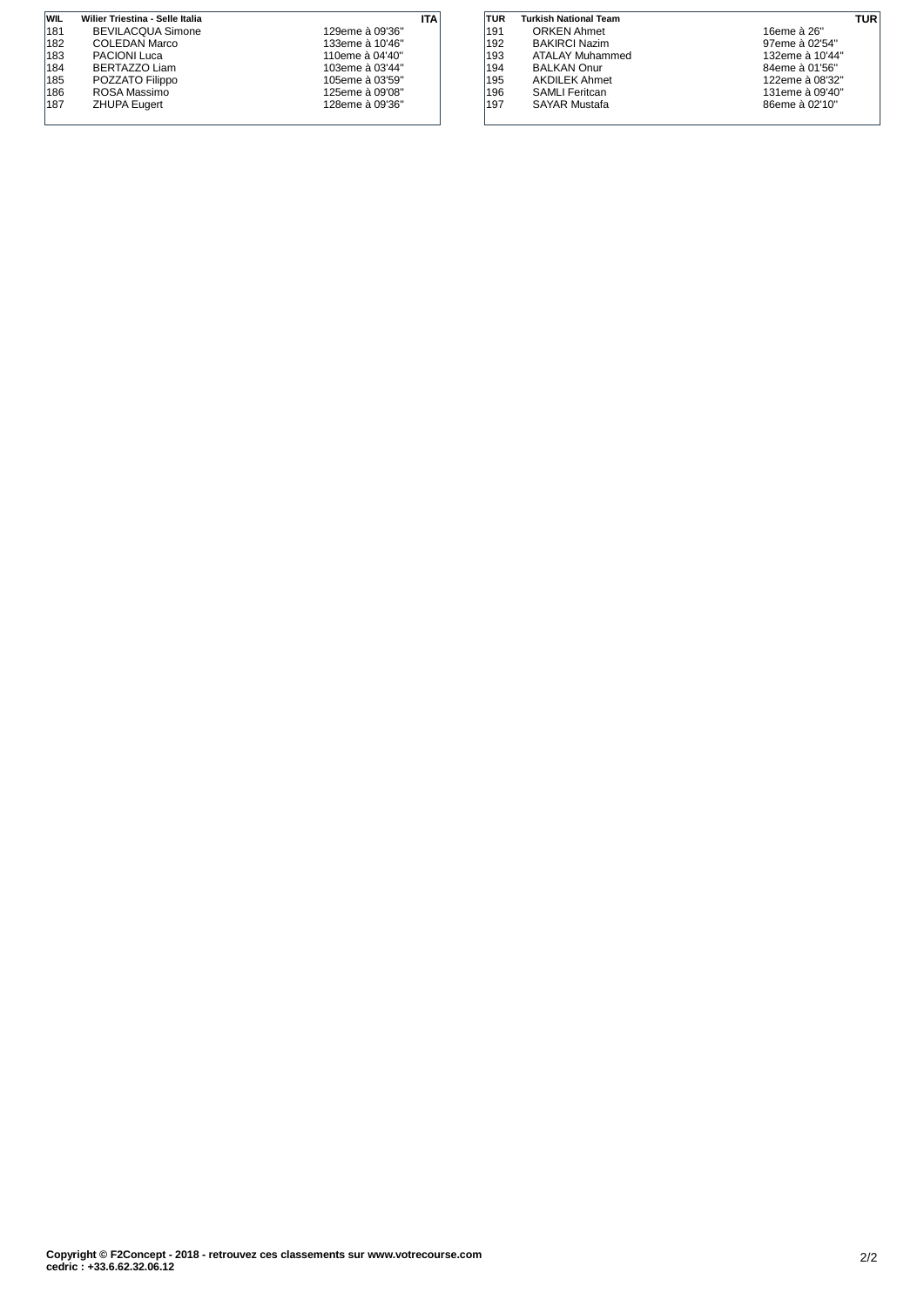| <b>WIL</b> | Wilier Triestina - Selle Italia |                 | ITA |
|------------|---------------------------------|-----------------|-----|
| 181        | <b>BEVILACOUA Simone</b>        | 129eme à 09'36" |     |
| 182        | COLEDAN Marco                   | 133eme à 10'46" |     |
| 183        | PACIONI Luca                    | 110eme à 04'40" |     |
| 184        | BERTAZZO Liam                   | 103eme à 03'44" |     |
| 185        | POZZATO Filippo                 | 105eme à 03'59" |     |
| 186        | ROSA Massimo                    | 125eme à 09'08" |     |
| 187        | <b>ZHUPA Eugert</b>             | 128eme à 09'36" |     |
|            |                                 |                 |     |

| TUR | <b>Turkish National Team</b> |                 | TUR |
|-----|------------------------------|-----------------|-----|
| 191 | <b>ORKEN Ahmet</b>           | 16eme à 26"     |     |
| 192 | <b>BAKIRCI Nazim</b>         | 97eme à 02'54"  |     |
| 193 | ATALAY Muhammed              | 132eme à 10'44" |     |
| 194 | <b>BALKAN Onur</b>           | 84eme à 01'56"  |     |
| 195 | <b>AKDILEK Ahmet</b>         | 122eme à 08'32" |     |
| 196 | <b>SAMLI Feritcan</b>        | 131eme à 09'40" |     |
| 197 | <b>SAYAR Mustafa</b>         | 86eme à 02'10"  |     |
|     |                              |                 |     |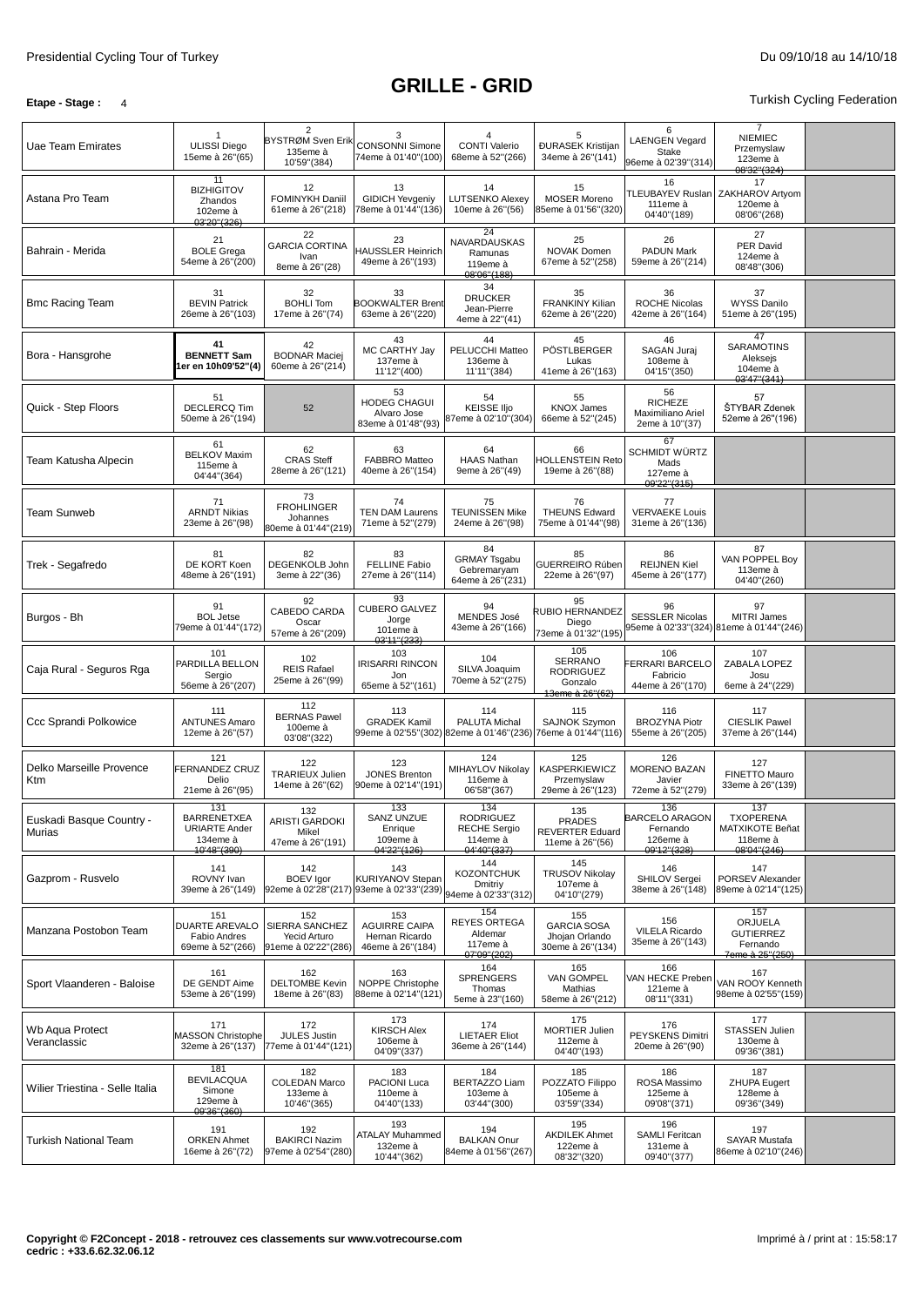### **Etape -** Stage **:** 4 Turkish Cycling Federation

| Uae Team Emirates                  | <b>ULISSI Diego</b><br>15eme à 26"(65)                                       | $\overline{2}$<br>BYSTRØM Sven Erik<br>135eme à<br>10'59"(384) | 3<br><b>CONSONNI Simone</b><br>74eme à 01'40"(100)                        | 4<br><b>CONTI Valerio</b><br>68eme à 52"(266)                             | 5<br><b>ĐURASEK Kristijan</b><br>34eme à 26"(141)                       | 6<br><b>LAENGEN Vegard</b><br>Stake<br>96eme à 02'39"(314)          | 7<br><b>NIEMIEC</b><br>Przemyslaw<br>123eme à<br>08'32"(324)          |  |
|------------------------------------|------------------------------------------------------------------------------|----------------------------------------------------------------|---------------------------------------------------------------------------|---------------------------------------------------------------------------|-------------------------------------------------------------------------|---------------------------------------------------------------------|-----------------------------------------------------------------------|--|
| Astana Pro Team                    | 11<br><b>BIZHIGITOV</b><br>Zhandos<br>102eme à<br>03'20"(326)                | 12<br>FOMINYKH Daniil<br>61eme à 26"(218)                      | 13<br>GIDICH Yevgeniy<br>78eme à 01'44"(136)                              | 14<br><b>LUTSENKO Alexey</b><br>10eme à 26"(56)                           | 15<br><b>MOSER Moreno</b><br>85eme à 01'56''(320)                       | 16<br>111eme à<br>04'40"(189)                                       | 17<br>TLEUBAYEV Ruslan ZAKHAROV Artyom<br>120eme à<br>08'06"(268)     |  |
| Bahrain - Merida                   | 21<br><b>BOLE Grega</b><br>54eme à 26"(200)                                  | 22<br><b>GARCIA CORTINA</b><br>Ivan<br>8eme à 26"(28)          | 23<br><b>HAUSSLER Heinrich</b><br>49eme à 26"(193)                        | 24<br>NAVARDAUSKAS<br>Ramunas<br>119eme à<br>08'06"(188)                  | 25<br><b>NOVAK Domen</b><br>67eme à 52"(258)                            | 26<br>PADUN Mark<br>59eme à 26"(214)                                | 27<br><b>PER David</b><br>124eme à<br>08'48"(306)                     |  |
| <b>Bmc Racing Team</b>             | 31<br><b>BEVIN Patrick</b><br>26eme à 26"(103)                               | 32<br><b>BOHLI Tom</b><br>17eme à 26"(74)                      | 33<br><b>BOOKWALTER Brent</b><br>63eme à 26"(220)                         | 34<br><b>DRUCKER</b><br>Jean-Pierre<br>4eme à 22"(41)                     | 35<br><b>FRANKINY Kilian</b><br>62eme à 26"(220)                        | 36<br><b>ROCHE Nicolas</b><br>42eme à 26"(164)                      | 37<br><b>WYSS Danilo</b><br>51eme à 26"(195)                          |  |
| Bora - Hansgrohe                   | 41<br><b>BENNETT Sam</b><br>er en 10h09'52"(4)                               | 42<br><b>BODNAR Maciej</b><br>60eme à 26"(214)                 | 43<br>MC CARTHY Jay<br>137eme à<br>11'12"(400)                            | 44<br>PELUCCHI Matteo<br>136eme à<br>11'11"(384)                          | 45<br>PÖSTLBERGER<br>Lukas<br>41eme à 26"(163)                          | 46<br>SAGAN Juraj<br>108eme à<br>04'15"(350)                        | 47<br><b>SARAMOTINS</b><br>Aleksejs<br>104eme à<br>03'47"(341)        |  |
| Quick - Step Floors                | 51<br><b>DECLERCQ Tim</b><br>50eme à 26"(194)                                | 52                                                             | 53<br>HODEG CHAGUI<br>Alvaro Jose<br>83eme à 01'48"(93)                   | 54<br><b>KEISSE IIjo</b><br>87eme à 02'10"(304)                           | 55<br><b>KNOX James</b><br>66eme à 52"(245)                             | 56<br><b>RICHEZE</b><br>Maximiliano Ariel<br>2eme à 10"(37)         | 57<br>ŠTYBAR Zdenek<br>52eme à 26"(196)                               |  |
| Team Katusha Alpecin               | 61<br><b>BELKOV Maxim</b><br>115eme à<br>04'44"(364)                         | 62<br><b>CRAS Steff</b><br>28eme à 26"(121)                    | 63<br><b>FABBRO Matteo</b><br>40eme à 26"(154)                            | 64<br><b>HAAS Nathan</b><br>9eme à 26"(49)                                | 66<br><b>HOLLENSTEIN Reto</b><br>19eme à 26"(88)                        | 67<br><b>SCHMIDT WÜRTZ</b><br>Mads<br>127eme à<br>09'22"(315)       |                                                                       |  |
| <b>Team Sunweb</b>                 | 71<br><b>ARNDT Nikias</b><br>23eme à 26"(98)                                 | 73<br><b>FROHLINGER</b><br>Johannes<br>80eme à 01'44"(219)     | 74<br><b>TEN DAM Laurens</b><br>71eme à 52"(279)                          | 75<br><b>TEUNISSEN Mike</b><br>24eme à 26"(98)                            | 76<br><b>THEUNS Edward</b><br>75eme à 01'44"(98)                        | 77<br><b>VERVAEKE Louis</b><br>31eme à 26"(136)                     |                                                                       |  |
| Trek - Segafredo                   | 81<br>DE KORT Koen<br>48eme à 26"(191)                                       | 82<br>DEGENKOLB John<br>3eme à 22"(36)                         | 83<br><b>FELLINE Fabio</b><br>27eme à 26"(114)                            | 84<br><b>GRMAY Tsgabu</b><br>Gebremaryam<br>64eme à 26"(231)              | 85<br><b>GUERREIRO Rúben</b><br>22eme à 26"(97)                         | 86<br><b>REIJNEN Kiel</b><br>45eme à 26"(177)                       | 87<br>VAN POPPEL Bov<br>113eme à<br>04'40"(260)                       |  |
| Burgos - Bh                        | 91<br><b>BOL Jetse</b><br>79eme à 01'44"(172)                                | 92<br>CABEDO CARDA<br>Oscar<br>57eme à 26"(209)                | 93<br><b>CUBERO GALVEZ</b><br>Jorge<br>101eme à<br>03'11"(233)            | 94<br>MENDES José<br>43eme à 26"(166)                                     | 95<br><b>RUBIO HERNANDEZ</b><br>Diego<br>73eme à 01'32"(195)            | 96<br><b>SESSLER Nicolas</b>                                        | 97<br>MITRI James<br>95eme à 02'33"(324) 81eme à 01'44"(246)          |  |
| Caja Rural - Seguros Rga           | 101<br>PARDILLA BELLON<br>Sergio<br>56eme à 26"(207)                         | 102<br><b>REIS Rafael</b><br>25eme à 26"(99)                   | 103<br>IRISARRI RINCON<br>Jon<br>65eme à 52"(161)                         | 104<br>SILVA Joaquim<br>70eme à 52"(275)                                  | 105<br><b>SERRANO</b><br><b>RODRIGUEZ</b><br>Gonzalo<br>13eme à 26"(62) | 106<br><b>ERRARI BARCELO</b><br>Fabricio<br>44eme à 26"(170)        | 107<br>ZABALA LOPEZ<br>Josu<br>6eme à 24"(229)                        |  |
| Ccc Sprandi Polkowice              | 111<br><b>ANTUNES Amaro</b><br>12eme à 26"(57)                               | 112<br><b>BERNAS Pawel</b><br>100eme à<br>03'08"(322)          | 113<br><b>GRADEK Kamil</b><br>99eme à 02'55"(302)                         | 114<br>PALUTA Michal<br>82eme à 01'46"(236)                               | 115<br><b>SAJNOK Szymon</b><br>76eme à 01'44"(116)                      | 116<br><b>BROZYNA Piotr</b><br>55eme à 26"(205)                     | 117<br><b>CIESLIK Pawel</b><br>37eme à 26"(144)                       |  |
| Delko Marseille Provence<br>Ktm    | 121<br>FERNANDEZ CRUZ<br>Delio<br>21eme à 26"(95)                            | 122<br><b>TRARIEUX Julien</b><br>14eme à 26"(62)               | 123<br><b>JONES Brenton</b><br>90eme à 02'14"(191)                        | 124<br>MIHAYLOV Nikolay<br>116eme à<br>06'58"(367)                        | 125<br><b>KASPERKIEWICZ</b><br>Przemyslaw<br>29eme à 26"(123)           | 126<br><b>MORENO BAZAN</b><br>Javier<br>72eme à 52"(279)            | 127<br>FINETTO Mauro<br>33eme à 26"(139)                              |  |
| Euskadi Basque Country -<br>Murias | 131<br><b>BARRENETXEA</b><br><b>URIARTE Ander</b><br>134eme à<br>10'48"(390) | 132<br><b>ARISTI GARDOKI</b><br>Mikel<br>47eme à 26"(191)      | 133<br>SANZ UNZUE<br>Enrique<br>109eme à<br>04'22"(126)                   | 134<br><b>RODRIGUEZ</b><br><b>RECHE Sergio</b><br>114eme à<br>04'40"(337) | 135<br><b>PRADES</b><br><b>REVERTER Eduard</b><br>11eme à 26"(56)       | 136<br><b>BARCELO ARAGON</b><br>Fernando<br>126eme à<br>09'12"(328) | 137<br><b>TXOPERENA</b><br>MATXIKOTE Beñat<br>118eme à<br>08'04"(246) |  |
| Gazprom - Rusvelo                  | 141<br>ROVNY Ivan<br>39eme à 26"(149)                                        | 142<br><b>BOEV</b> Igor                                        | 143<br><b>KURIYANOV Stepan</b><br>92eme à 02'28"(217) 93eme à 02'33"(239) | 144<br><b>KOZONTCHUK</b><br>Dmitriy<br>94eme à 02'33"(312)                | 145<br><b>TRUSOV Nikolay</b><br>107eme à<br>04'10"(279)                 | 146<br>SHILOV Sergei<br>38eme à 26"(148)                            | 147<br>PORSEV Alexander<br>89eme à 02'14"(125)                        |  |
| Manzana Postobon Team              | 151<br>DUARTE AREVALO<br>Fabio Andres<br>69eme à 52"(266)                    | 152<br>SIERRA SANCHEZ<br>Yecid Arturo<br>91eme à 02'22"(286)   | 153<br><b>AGUIRRE CAIPA</b><br>Hernan Ricardo<br>46eme à 26"(184)         | 154<br><b>REYES ORTEGA</b><br>Aldemar<br>117eme à<br>07'09"(202)          | 155<br><b>GARCIA SOSA</b><br>Jhojan Orlando<br>30eme à 26"(134)         | 156<br><b>VILELA Ricardo</b><br>35eme à 26"(143)                    | 157<br>ORJUELA<br><b>GUTIERREZ</b><br>Fernando<br>7eme à 25"(250)     |  |
| Sport Vlaanderen - Baloise         | 161<br>DE GENDT Aime<br>53eme à 26"(199)                                     | 162<br><b>DELTOMBE Kevin</b><br>18eme à 26"(83)                | 163<br>NOPPE Christophe<br>88eme à 02'14"(121)                            | 164<br>SPRENGERS<br>Thomas<br>5eme à 23"(160)                             | 165<br>VAN GOMPEL<br>Mathias<br>58eme à 26"(212)                        | 166<br>VAN HECKE Preben<br>121eme à<br>08'11"(331)                  | 167<br>VAN ROOY Kenneth<br>98eme à 02'55"(159)                        |  |
| Wb Aqua Protect<br>Veranclassic    | 171<br><b>MASSON Christophe</b><br>32eme à 26"(137)                          | 172<br><b>JULES Justin</b><br>77eme à 01'44"(121)              | 173<br><b>KIRSCH Alex</b><br>106eme à<br>04'09"(337)                      | 174<br><b>LIETAER Eliot</b><br>36eme à 26"(144)                           | 175<br><b>MORTIER Julien</b><br>112eme à<br>04'40"(193)                 | 176<br><b>PEYSKENS Dimitri</b><br>20eme à 26"(90)                   | 177<br>STASSEN Julien<br>130eme à<br>09'36"(381)                      |  |
| Wilier Triestina - Selle Italia    | 181<br><b>BEVILACQUA</b><br>Simone<br>129eme à<br>09'36"(360)                | 182<br><b>COLEDAN Marco</b><br>133eme à<br>10'46"(365)         | 183<br>PACIONI Luca<br>110eme à<br>04'40"(133)                            | 184<br><b>BERTAZZO Liam</b><br>103eme à<br>03'44"(300)                    | 185<br>POZZATO Filippo<br>105eme à<br>03'59"(334)                       | 186<br>ROSA Massimo<br>125eme à<br>09'08"(371)                      | 187<br><b>ZHUPA Eugert</b><br>128eme à<br>09'36"(349)                 |  |
| <b>Turkish National Team</b>       | 191<br><b>ORKEN Ahmet</b><br>16eme à 26"(72)                                 | 192<br><b>BAKIRCI Nazim</b><br>97eme à 02'54"(280)             | 193<br><b>ATALAY Muhammed</b><br>132eme à<br>10'44"(362)                  | 194<br><b>BALKAN Onur</b><br>84eme à 01'56"(267)                          | 195<br><b>AKDILEK Ahmet</b><br>122eme à<br>08'32"(320)                  | 196<br>SAMLI Feritcan<br>131eme à<br>09'40"(377)                    | 197<br><b>SAYAR Mustafa</b><br>86eme à 02'10"(246)                    |  |